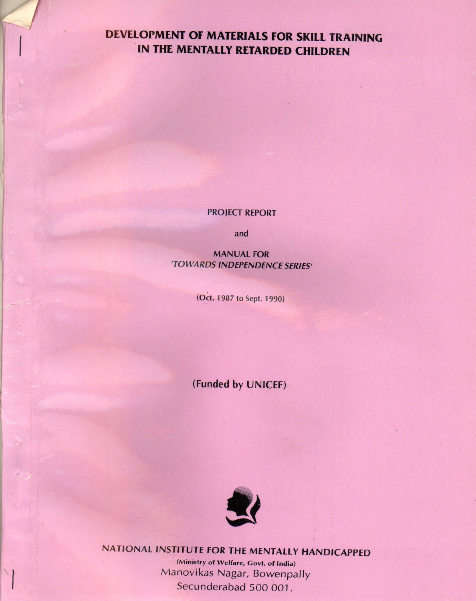# DEVELOPMENT OF MATERIALS FOR SKILL TRAINING IN THE MENTALLY RETARDED CHILDREN

#### PROJECT REPORT

and

MANUAL FOR 'TOWARDS INDEPENDENCE SERIES'

(Oct. 1987 to Sept. 1990)

(Funded by UNICEF)



NATIONAL INSTITUTE FOR THE MENTALLY HANDICAPPED (Minisfry of Welfare, Govt. of India) Manovikas Nagar, Bowenpally Secunderabad 500 001.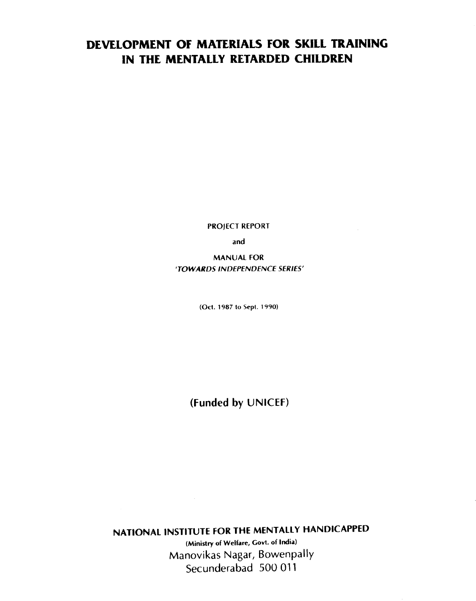# DEVELOPMENT OF MATERIALS FOR SKILL TRAINING IN THE MENTALLY RETARDED CHILDREN

PROJECT REPORT

and

MANUAI FOR TOWARDS INDEPENDENCE SERIES'

(OcI. 1987 to Sept. 1990)

(Funded by UNICEF)

NATIONAL INSTITUTE FOR THE MENTALLY HANDICAPPED

(Ministry of Welfare, Govt. of India) Manovikas Nagar, Bowenpally Secunderabad 500 011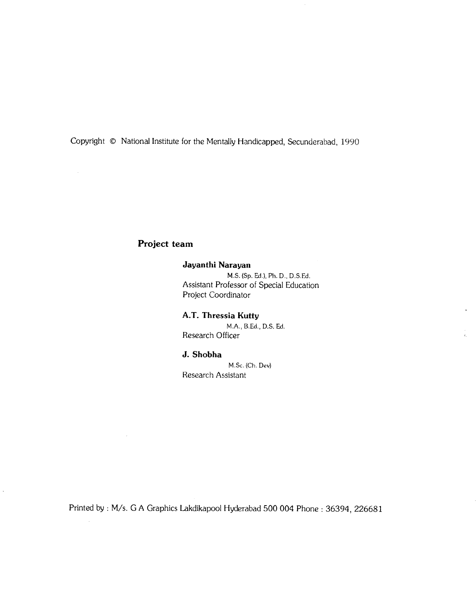Copyright © National Institute for the Mentally Handicapped, Secunderabad, 1990

## Project team

 $\sim$ 

 $\mathcal{A}$ 

 $\hat{\mathcal{A}}$ 

#### Jayanthi Narayan

M.S. (Sp. Ed.), Ph. D., D.S.Ed. Assistant Professor of Special Education Project Coordinator

 $\hat{\mathbf{a}}$ 

 $\frac{1}{4\pi}$ 

#### A.T. Thressia Kutty

M.A., BEd. D.S. Ed. Research Officer

#### J. Shobha

M.Sc. (Ch. Dev) Research Assistant

Printed by: M/s. C A Graphics Lakdikapool Hyderabad 500 004 Phone: 36394, 226681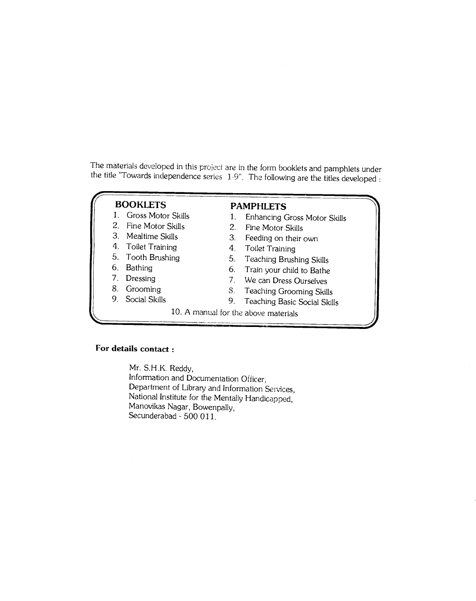The materials developed in this project are in the form booklets and pamphlets under the title "Towards independence series 1-9". The following are the titles developed :

# **BOOKLETS**

- 1. Gross Motor Skills
- 2. Fine Motor Skills
- 3. Mealtime Skills
- 4. Toilet Training
- 5. Tooth Brushing
- 6. Bathing
- 7. Dressing
- 8. Grooming
- 9. Social Skills

# **PAMPHLETS**<br>1. Enhancing C

- Enhancing Gross Motor Skills
- 2. Fine Motor Skills
- 3. Feeding on their own
- 4. Toilet Training
- 5. Teaching Brushing Skills
- 6. Train your child to Bathe
- 7. We can Dress Ourselves
- S. Teaching Grooming Skills
- 9. Teaching Basic Social Skills
- 10. A manual for the above materials

#### For details contact:

Mr. S.H.K. Reddy, Information and Documentation Officer. Department of Library and Information Services, National Institute for the Mentally Handicapped, Manovikas Nagar, Bowenpally, Secunderabad - 500 011.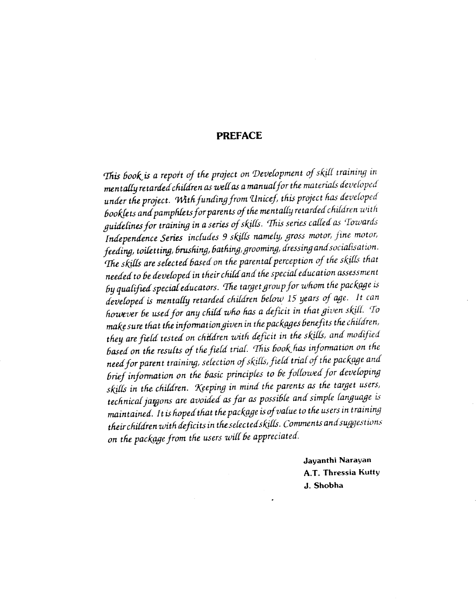#### PREFACE

This book is a report of the project on Development of skill training in mentally retarded children as well as a manual for the materials developed under the project. With funding from Unicef, this project has developed booklets and pamphlets for parents of the mentally retarded children with guidelines for training in a series of skills. This series called as Towards Independence Series includes 9 skills namely, gross motor, fine motor, feeding, toiletting, brushing, bathing, grooming, dressing and socialisation. The skills are selected based on the parental perception of the skills that needed to be developed in their child and the special education assessment by qualified special educators. The target group for whom the package is developed is mentally retarded children below 15 years of age. It can however be used for any child who has a deficit in that given skill. To make sure that the information given in the packages benefits the children, they are field tested on children with deficit in the skills, and modified based on the results of the field trial. This book has information on the need for parent training, selection of skills, field trial of the package and brief information on the basic principles to be followed for developing skills in the children. Keeping in mind the parents as the target users, technical jazgons are avoided as far as possible and simple language is maintained. It is hoped that the package is of value to the users in training their children with deficits in the selected skills. Comments and suggestions on the package from the users will be appreciated.

> Jayanthi Narayan A.T. Thressia Kutty J. Shobha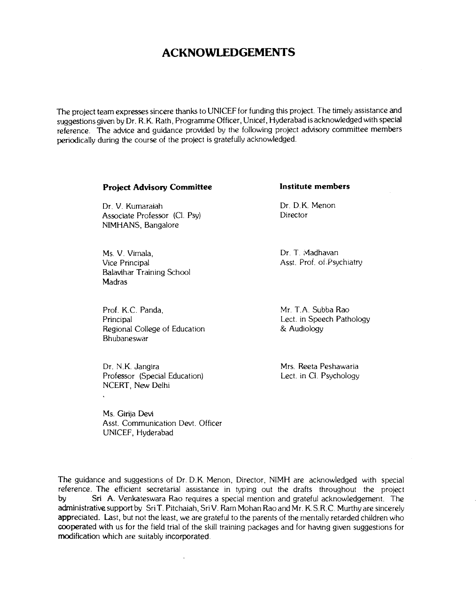# ACKNOWLEDGEMENTS

The project team expresses sincere thanks to UNICEF for funding this project. The timely assistance and suggestions given by Dr. R.K. Rath, Programme Officer, Unicef, Hyderabad is acknowledged with special reference. The advice and guidance provided by the following project advisory committee members periodically during the course of the project is gratefully acknowledged.

#### Project Advisory Committee **Institute members**

Dr. V. Kumaraiah Dr. D.K. Menon Associate Professor (Cl. Psy) NIMHANS, Bangalore

Ms. V. Vimala, Dr. T. Madhavan<br>
Vice Principal Massachusetts Asst. Prof. of Psy Balavihar Training School **Madras** 

Prof. K.C. Panda, Mr. T.A. Subba Rao Principal Dect. in Speech Pathology<br>Regional College of Education  $\begin{array}{ccc} & & & \text{if } & \mathbb{R}^2 \setminus \mathbb{R}^2 \setminus \mathbb{R}^2 \setminus \mathbb{R}^2 \setminus \mathbb{R}^2 \setminus \mathbb{R}^2 \setminus \mathbb{R}^2 \setminus \mathbb{R}^2 \setminus \mathbb{R}^2 \setminus \mathbb{R}^2 \setminus \mathbb{R}^2 \setminus \mathbb{R}^2 \setminus \mathbb{R}^$ Regional College of Education Bhubaneswar

Dr. N.K. Jangira Mrs. Reeta Peshawaria<br>Professor (Special Education) Lect. in Cl. Psychology Professor (Special Education) NCERT, New Delhi

Ms. Girija Devi Asst. Communication Devt. Officer UNICEF, Hyderabad

Asst. Prof. of Psychiatry

The guidance and suggestions of Dr. D.K. Menon, Director, NIMH are acknowledged with special reference. The efficient secretarial assistance in typing out the drafts throughout the project by Sri A. Venkateswara Rao requires a special mention and grateful acknowledgement. The administrative support by Sri T. Pitchaiah, Sri V. Ram Mohan Rao and Mr. K.S.R.C. Murthy are sincerely appreciated. Last, but not the least, we are grateful to the parents of the mentally retarded children who cooperated with us for the field trial of the skill training packages and for having given suggestions for modification which are suitably incorporated.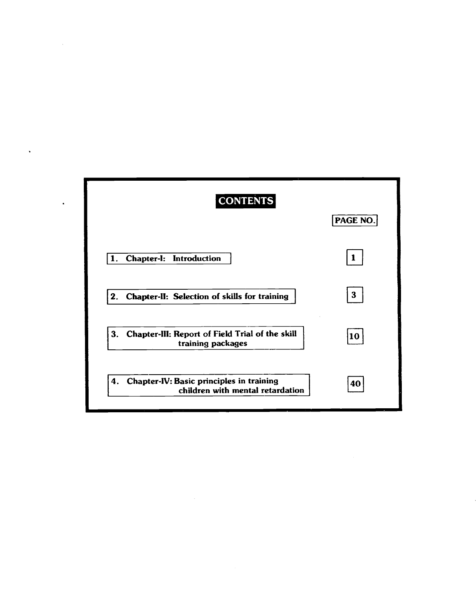| <b>CONTENTS</b>                                                                    | PAGE NO. |
|------------------------------------------------------------------------------------|----------|
| Chapter-I: Introduction<br>1.                                                      |          |
| 2.<br>Chapter-II: Selection of skills for training                                 | 3        |
| Chapter-III: Report of Field Trial of the skill<br>3.<br>training packages         | 10       |
| Chapter-IV: Basic principles in training<br>4.<br>children with mental retardation | 40       |

 $\label{eq:2.1} \frac{1}{\sqrt{2}}\left(\frac{1}{\sqrt{2}}\right)^{2} \left(\frac{1}{\sqrt{2}}\right)^{2} \left(\frac{1}{\sqrt{2}}\right)^{2} \left(\frac{1}{\sqrt{2}}\right)^{2} \left(\frac{1}{\sqrt{2}}\right)^{2} \left(\frac{1}{\sqrt{2}}\right)^{2} \left(\frac{1}{\sqrt{2}}\right)^{2} \left(\frac{1}{\sqrt{2}}\right)^{2} \left(\frac{1}{\sqrt{2}}\right)^{2} \left(\frac{1}{\sqrt{2}}\right)^{2} \left(\frac{1}{\sqrt{2}}\right)^{2} \left(\$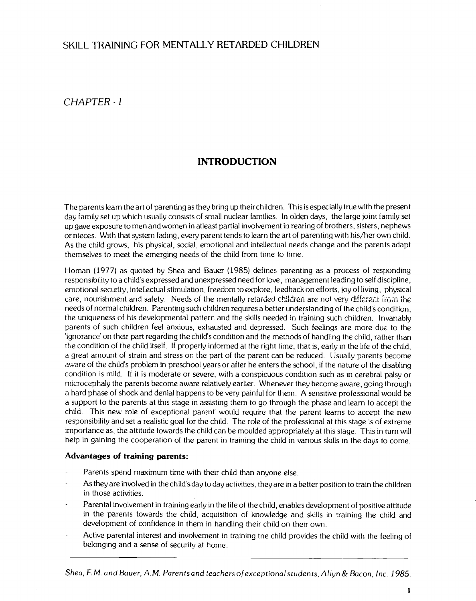# <span id="page-7-0"></span>SKILL TRAINING FOR MENTALLY RETARDED CHILDREN

CHAPTER -1

# INTRODUCTION

The parents learn the art of parenting as they bring up their children. This is especially true with the present day family set up which usually consists of small nuclear families. In olden days, the large joint family set up gave exposure to men and women in atleast partial involvement in rearing of brothers, sisters, nephews or nieces. With that system fading, every parent tends to learn the art of parenting with his/her own child. As the child grows, his physical, social, emotional and intellectual needs change and the parents adapt themselves to meet the emerging needs of the child from time to time.

Homan (1977) as quoted by Shea and Bauer (1985) defines parenting as a process of responding responsibility to a child's expressed and unexpressed need for love, management leading to self discipline, emotional security, intellectual stimulation, freedom to explore, feedback on efforts, joy of living, physical care, nourishment and safety. Needs of the mentally retarded children are not very different from the needs of normal children. Parenting such children requires a better understanding of the child's condition, the uniqueness of his developmental pattern and the skills needed in training such children. Invariably parents of such children feel anxious, exhausted and depressed. Such feelings are more due to the 'ignorance' on their part regarding the child's condition and the methods of handling the child, rather than the condition of the child itself. If properly informed at the right time, that is, early in the life of the child, a great amount of strain and stress on the part of the parent can be reduced. Usually parents become aware of the child's problem in preschool years or after he enters the school, if the nature of the disabling condition is mild. If it is moderate or severe, with a conspicuous condition such as in cerebral palsy or microcephaly the parents become aware relatively earlier. Whenever they become aware, going through a hard phase of shock and denial happens to be very painful for them. A sensitive professional would be a support to the parents at this stage in assisting them to go through the phase and learn to accept the child. This new role of exceptional parent' would require that the parent learns to accept the new responsibility and set a realistic goal for the child. The role of the professional at this stage is of extreme importance as, the attitude towards the child can be moulded appropriately at this stage. This in turn will help in gaining the cooperation of the parent in training the child in various skills in the days to come.

#### Advantages of training parents:

- Parents spend maximum time with their child than anyone else.
- As they are involved in the child's day to day activities, they are in a better position to train the children in those activities.
- Parental involvement in training early in the life of the child, enables development of positive attitude in the parents towards the child, acquisition of knowledge and skills in training the child and development of confidence in them in handling their child on their own.
- Active parental interest and involvement in training tne child provides the child with the feeling of belonging and a sense of security at home.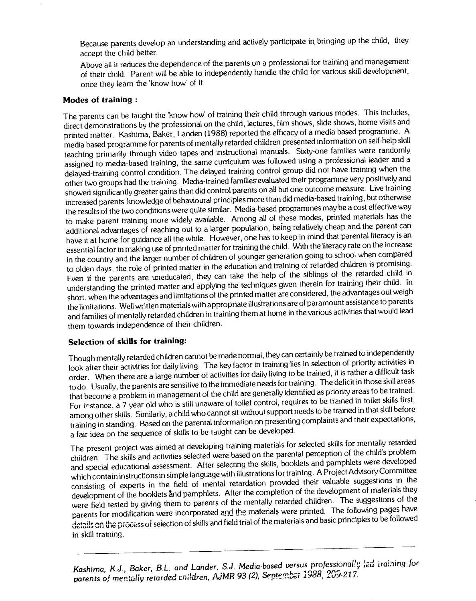Because parents develop an understanding and actively participate in, bringing up the child, they accept the child better.

Above all it reduces the dependence of the parents on a professional for training and management of their child. Parent will be able to independently handle the child for various skill development, once they learn the 'know how' of it.

#### Modes of training:

The parents can be taught the 'know how' of training their child through various modes. This includes, direct demonstrations by the professional on the child, lectures, film shows, slide shows, home visits and printed matter. Kashima, Baker, Landen (1988) reported the efficacyof a media based programme. A media based programme for parents of mentally retarded children presented information on self-helpskill teaching primarily through video tapes and instructional manuals. Sixty-one families were randomly assigned to media-based training, the same curriculum was followed using a professional leader and a delayed-training control condition. The delayed training control group did not have training when the other two groups had the training. Media-trained families-evaluated their programme very positively and showed significantly greater gains than did control parents on all but one outcome measure. Live training increased parents knowledge of behavioural principles more than did media-based training, but otherwise the results of the two conditions were quite similar. Media-based programmes maybe a cost effective way to make parent training more widely available. Among all of these modes, printed materials has the additional advantages of reaching out to a larger population, being relatively cheap and the parent can have it at home for guidance all the while. However, one has to keep in mind that parental literacy is an essential factor in making use of printed matter for training the child. With the literacy rate on the increase in the country and the larger number of children of younger generation going to school when compared to olden days, the role of printed matter in the education and training of retarded children is promising. Even if the parents are uneducated, they can take the help of the siblings of the retarded child in understanding the printed matter and applying the techniques giventherein for training their child. In short, when the advantages and limitations of the printed matter are considered, the advantages out weigh the limitations. Well written materials with appropriate illustrations areof paramount assistance to parents and families of mentally retarded children in training them at home inthe various activities that would lead them towards independence of their children.

### Selection of skills for training:

Though mentally retarded children cannot be made normal, they can certainly be trained to independently look after their activities for daily living. The key factor in training lies in selection of priority activities in order. When there are a large number of activities for daily living tobe trained, it is rather a difficult task to do. Usually, the parents are sensitive to the immediate needs for training. The deficit in those skill areas that become a problem in management of the child are generally identified as priority areas to be trained. For instance, a 7 year old who is still unaware of toilet control, requires to be trained in toilet skills first, among other skills. Similarly, a child who cannot sit without support needs to be trained in that skill before training in standing. Based on the parental information on presentingcomplaints and their expectations, a fair idea on the sequence of skills to be taught can be developed.

The present project was aimed at developing training materials for selected skills for mentally retarded children. The skills and activities selected were based on the parental perception of the child's problem and special educational assessment. After selecting the skills, booklets and pamphlets were developed which contain instructions in simple language with illustrationsfor training. A Project Advisory Committee consisting of experts in the field of mental retardation provided their valuable suggestions in the development of the booklets and pamphlets. After the completion of the development of materials they were field tested by giving them to parents of the mentally retarded children. The suggestions of the parents for modification were incorporated and the materials were printed. The following pages have details on the process of selection of skills and field trial of the materials and basic principles to be followed in skill training.

Kashima, K.J., Baker, B.L. and Lander, S.J. Media-based versus professionally led iraining for parents of mentally retarded cnildren, AJMR 93 (2), September 1988, 209-217.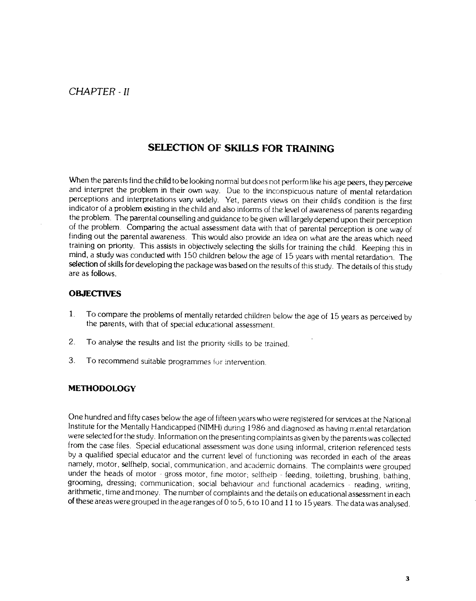# SELECTION OF SKILLS FOR TRAINING

<span id="page-9-0"></span>When the parents find the child to be looking normal but does not perform like his age peers, they perceive and interpret the problem in their own way. Due to the inconspicuous nature of mental retardation perceptions and interpretations vary widely. Yet, parents views on their child's condition is the first indicator of a problem existing in the child and also informs of the level of awareness of parents regarding the problem. The parental counselling and guidance to be given will largely depend upon their perception of the problem. Comparing the actual assessment data with that of parental perception is one way of finding out the parental awareness. This would also provide an idea on what are the areas which need training on priority. This assists in objectively selecting the skills for training the child. Keeping this in mind, a study was conducted with 150 children below the age of 15 years with mental retardation. The selection of skills for developing the package was based on the results of this study. The details of this study are as follows.

#### **OBJECTIVES**

- 1. To compare the problems of mentally retarded children below the age of 15years as perceived by the parents, with that of special educational assessment.
- 2. To analyse the results and list the priority skills to be trained.
- 3. To recommend suitable programmes for intervention.

#### **METHODOLOGY**

One hundred and fifty cases below the age of fifteen years who were registered for services at the National Institute for the Mentally Handicapped (NIMH) during 1986 and diagnosed as having mental retardation were selected for the study. Information on the presenting complaints as given by the parents was collected from the case files. Special educational assessment was done using informal, criterion referenced tests by a qualified special educator and the current level of functioning was recorded in each of the areas namely, motor, selfhelp, social, communication, and academic domains. The complaints were grouped under the heads of motor - gross motor, fine motor; selfhelp - feeding, toiletting, brushing, bathing, grooming, dressing; communication; social behaviour and functional academics - reading, writing, arithmetic, time and m of these areas were grouped in the age ranges of 0 to 5, 6 to 10 and 11 to 15 years. The data was analysed.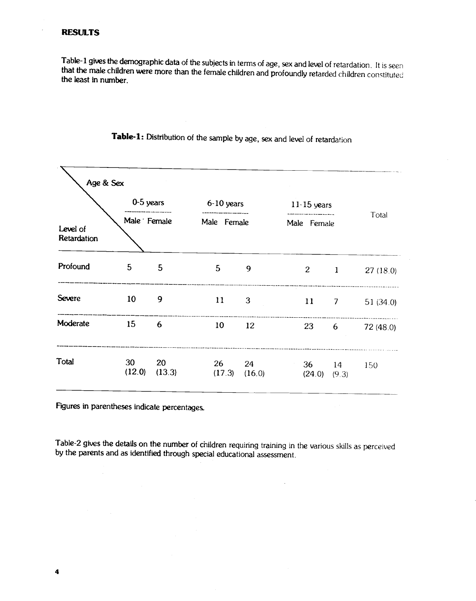÷,

Table-1 gives the demographic data of the subjects in terms of age, sex and level of retardation. It is seen that the male children were more than the female children and profoundly retarded children constituted the least

|                         | 0-5 years    |              | $6-10$ years   |              | $11-15$ years          |                |                |  |
|-------------------------|--------------|--------------|----------------|--------------|------------------------|----------------|----------------|--|
| Level of<br>Retardation | Male Female  |              | Male Female    |              | Male Female            |                | Total          |  |
| Profound                | 5            | 5            | $5\phantom{.}$ | 9            | 2 <sup>7</sup>         | $\mathbf{1}$   | 27(18.0)       |  |
| <b>Severe</b>           | 10           | 9            | 11             | 3            | 11                     | $\overline{7}$ | 51 $(34.0)$    |  |
| Moderate                | 15           | 6            | 10             | 12           |                        |                | 23 6 72 (48.0) |  |
| Total                   | 30<br>(12.0) | 20<br>(13.3) | 26<br>(17.3)   | 24<br>(16.0) | 36<br>$(24.0)$ $(9.3)$ | 14             | 150            |  |

Table-1: Distribution of the sample by age, sex and level of retardation

Figures in parentheses indicate percentages.

Table-2 gives the details on the number of children requiring training in the various skills as perceived by the parents and as identified through special educational assessment.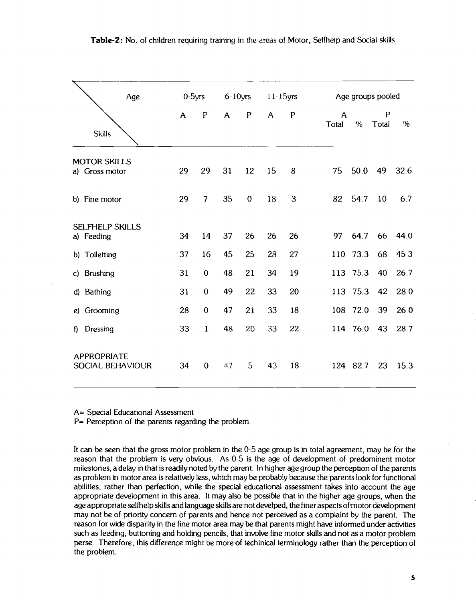|                                       | Age              |              | $0-5$ yrs      |              | $6-10$ yrs   |                | $11 - 15$ yrs |                       |            | Age groups pooled     |         |
|---------------------------------------|------------------|--------------|----------------|--------------|--------------|----------------|---------------|-----------------------|------------|-----------------------|---------|
| <b>Skills</b>                         |                  | $\mathsf{A}$ | $\mathbf P$    | $\mathsf{A}$ | P            | $\overline{A}$ | $\mathbf{P}$  | $\mathsf{A}$<br>Total | %          | $\mathsf{P}$<br>Total | %       |
| <b>MOTOR SKILLS</b><br>a) Gross motor |                  | 29           | 29             | 31           | 12           | 15             | 8             |                       |            | 75 50.0 49            | 32.6    |
| b) Fine motor                         |                  | 29           | $\overline{7}$ | 35           | $\mathbf{O}$ | 18             | 3             |                       | 82 54.7 10 |                       | 6.7     |
| <b>SELFHELP SKILLS</b><br>a) Feeding  |                  | 34           | 14             | 37           | 26           | 26             | 26            |                       | $\epsilon$ | 97 64.7 66 44.0       |         |
| b) Toiletting                         |                  | 37           | 16             | 45           | 25           | 28             | 27            |                       |            | 110 73.3 68 45.3      |         |
| c) Brushing                           |                  | 31           | $\mathbf{0}$   | 48           | 21           | 34             | 19            |                       |            | 113 75.3 40 26.7      |         |
| d) Bathing                            |                  | 31           | $\mathbf{0}$   | 49           | 22           | 33             | 20            |                       |            | 113 75.3 42 28.0      |         |
| e) Grooming                           |                  | 28           | $\mathbf{0}$   | 47           | 21           | 33             | 18            |                       | 108 72.0   |                       | 39 26.0 |
| f) Dressing                           |                  | 33           | $\mathbf{1}$   | 48           | 20           | 33             | 22            |                       |            | 114 76.0 43 28.7      |         |
| <b>APPROPRIATE</b>                    | SOCIAL BEHAVIOUR | 34           | $\mathbf{0}$   | 47           | 5            | 43             | 18            |                       | 124 82.7   |                       | 23 153  |

A= Special Educational Assessment

P= Perception of the parents regarding the problem.

It can be seen that the gross motor problem in the 0-5 age group is in total agreement, may be for the reason that the problem is very obvious. As 0-5 is the age of development of predominent motor milestones, a delay in that is readily noted by the parent. In higher age group the perception of the parents as problem in motor area is relatively less, which may be probably because the parents look for functional abilities, rather than perfection, while the special educational assessment takes into account the age appropriate development in this area. It may also be possible that in the higher age groups, when the age appropriate selfhelp skills and language skills are not develped, the finer aspects of motor development may not be of priority concern of parents and hence not perceived as a complaint by the parent. The reason for wide disparity in the fine motor area may be that parents might have informed under activities such as feeding, buttoning and holding pencils, that involve fine motor skills and not as a motor problem perse. Therefore, this difference might be more of techinical terminology rather than the perception of the problem.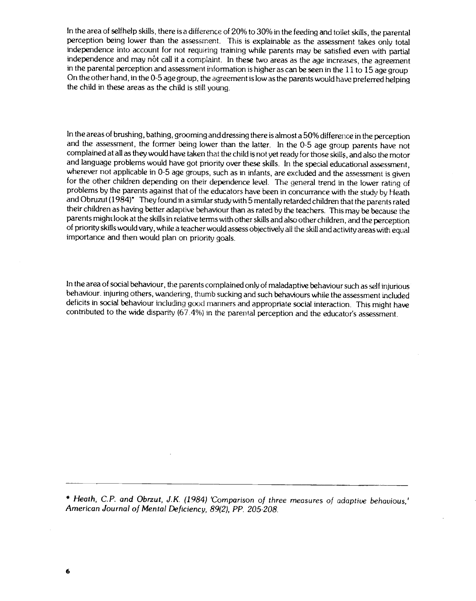In the area of selfhelp skills, there is a difference of 20% to 30% in the feeding and toilet skills, the parental perception being lower than the assessment. This is explainable as the assessment takes only total independence into account for not requiring training while parents may be satisfied even with partial independence and may not call it a complaint. In these two areas as the age increases, the agreement in the parental perception and assessment information is higher as can be seen in the 11 to 15 age group On the other hand, in the 0-5 age group, the agreement is low as the parents would have preferred helping the child in these areas as the child is still young,

In the areas of brushing, bathing, grooming and dressing there is almost a 50% difference in the perception and the assessment, the former being lower than the latter. In the 0-5 age group parents have not complained at all as they would have taken that the child is not yet ready for those skills, and also the motor and language problems would have got priority over these skills. In the special educational assessment, wherever not applicable in 0-5 age groups, such as in infants, are excluded and the assessment is given for the other children depending on their dependence level. The qeneral trend in the lower rating of problems by the parents against that of the educators have been in concurrance with the study by Heath and Obruzut (1984)<sup>\*</sup> They found in a similar study with 5 mentally retarded children that the parents rated their children as having better adaptive behaviour than as rated by the teachers. Thismay be because the parents might look at the skills in relative terms with other skills and also other children, and the perception of priority skills would vary, while a teacher would assess objectively all the skill and activityareas with equal importance and then would plan on priority goals.

In the area of social behaviour, the parents complained only of maladaptive behaviour such as self injurious behaviour, injuring others, wandering, thumb sucking and such behaviours while the assessment included deficits in social behaviour including good manners and appropriate social interaction. This might have contributed to the wide disparity (67.4%) in the parental perception and the educator's assessment.

\* Heath, C.P. and Obrzut, J.K. (1984) 'Comparison of three measures of adaptive behavious,' American Journal of Mental Deficiency, 89(2), PP. 205-208.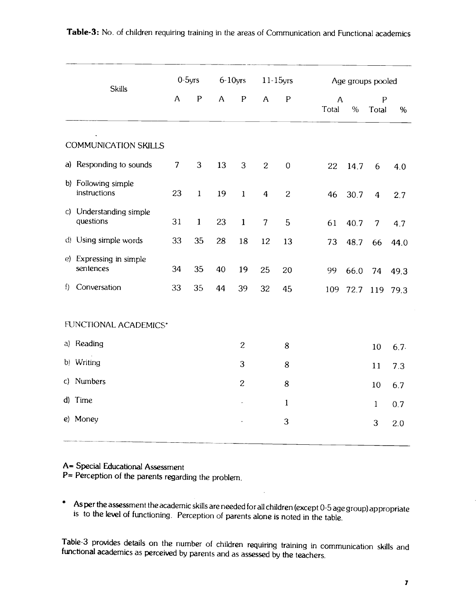| <b>Skills</b>                            |                | $0-5$ yrs    |    | $6-10$ yrs     |                  | $11-15$ yrs      |            | Age groups pooled |                    |      |
|------------------------------------------|----------------|--------------|----|----------------|------------------|------------------|------------|-------------------|--------------------|------|
|                                          | $\mathsf{A}$   | ${\sf P}$    | A  | ${\sf P}$      | $\mathsf{A}$     | ${\sf P}$        | A<br>Total | $\%$              | ${\sf P}$<br>Total | $\%$ |
| $\bullet$<br><b>COMMUNICATION SKILLS</b> |                |              |    |                |                  |                  |            |                   |                    |      |
| a) Responding to sounds                  | $\overline{7}$ | 3            | 13 | 3              | $\overline{c}$   | $\boldsymbol{0}$ | 22         | 14.7              | 6                  | 4.0  |
| b) Following simple<br>instructions      | 23             | $\mathbf 1$  | 19 | $\mathbf 1$    | $\boldsymbol{4}$ | $\overline{c}$   | 46         | 30.7              | $\boldsymbol{4}$   | 2.7  |
| c) Understanding simple<br>questions     | 31             | $\mathbf{1}$ | 23 | $\mathbf{1}$   | $\overline{7}$   | 5                | 61         | 40.7              | $\overline{7}$     | 4.7  |
| d) Using simple words                    | 33             | 35           | 28 | 18             | 12               | 13               | 73         | 48.7              | 66                 | 44.0 |
| e) Expressing in simple<br>sentences     | 34             | 35           | 40 | 19             | 25               | 20               | 99         | 66.0              | 74                 | 49.3 |
| f) Conversation                          | 33             | 35           | 44 | 39             | 32               | 45               | 109        |                   | 72.7 119 79.3      |      |
| FUNCTIONAL ACADEMICS*                    |                |              |    |                |                  |                  |            |                   |                    |      |
| a) Reading                               |                |              |    | $\overline{c}$ |                  | 8                |            |                   | 10                 | 6.7. |
| b) Writing                               |                |              |    | 3              |                  | $\, 8$           |            |                   | 11                 | 7.3  |
| c) Numbers                               |                |              |    | $\overline{c}$ |                  | 8                |            |                   | 10                 | 6.7  |
| d) Time                                  |                |              |    |                |                  | $\mathbf{1}$     |            |                   | $\mathbf{1}$       | 0.7  |
| e) Money                                 |                |              |    |                |                  | 3                |            |                   | 3                  | 2.0  |
|                                          |                |              |    |                |                  |                  |            |                   |                    |      |

# Table-3: No. of children requiring training in the areas of Communication and Functional academics

A= Special Educational Assessment

P= Perception of the parents regarding the problem.

\* As per the assessment the academic skills are needed for all children (except 0-5 age group) appropriate is to the level of functioning. Perception of parents alone is noted in the table.

Table-3 provides details on the number of children requiring training in communication skills and functional academics as perceived by parents and as assessed by the teachers.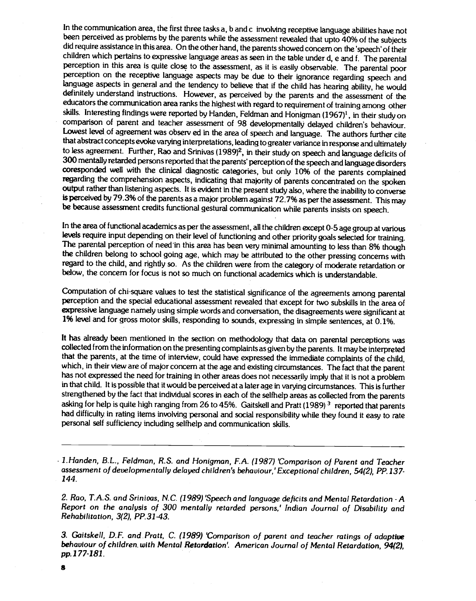In the communication area, the first three tasks a, b and c involving receptive language abilities have not been perceived as problems by the parents while the assessment revealed that upto 40% of the subjects did require assistance in this area. On the other hand, the parents showed concern on the 'speech' of their children which pertains to expressive language areas as seen in the table under d, e and f. The parental perception in this area is quite close to the assessment, as it is easily observable. The parental poor perception on the receptive language aspects may be due to their ignorance regarding speech and language aspects in general and the tendency to believe that if the child has hearing ability, he would definitely understand instructions. However, as perceived by the parents and the assessment of the educators the communication area ranks the highest with regard to requirement of training among other skills. Interesting findings were reported by Handen, Feldman and Honigman  $(1967)^1$ , in their study on comparison of parent and teacher assessment of 98 developmentally delayed children's behaviour. Lowest level of agreement was observ ed in the area of speech and language. The authors further cite that abstract concepts evoke varying interpretations, leading to greater variance inresponse and ultimately to less agreement. Further, Rao and Srinivas (1989)<sup>2</sup>, in their study on speech and language deficits of 300 mentally retarded persons reported that the parents' perception of the speech and language disorders coresponded well with the clinical diagnostic categories, but only 10% of the parents complained regarding the comprehension aspects, indicating that majority of parents concentrated on the spoken output rather than listening aspects. It is evident in the present study also, where the inability to converse is perceived by 79.3% of the parents as a major problem against 72.7% as per the assessment. This may be because assessment credits functional gestural communication while parents insists on speech.

In the area of functional academics as per the assessment, all the children except 0-5 age group at various levels require input depending on their level of functioning and other priority goals selected for training. The parental perception of need in this area has been very minimal amounting to less than 8% though the children belong to school going age, which may be attributed to the other pressing concerns with regard to the child, and rightly so. As the children were from the category of moderate retardation or below, the concern for focus is not so much on functional academics which is understandable.

Computation of chi-square values to test the statistical significance of the agreements among parental perception and the special educational assessment revealed that except for two subskills in the area of expressive language namely using simple words and conversation, the disagreements were significant at 1% level and for gross motor skills, responding to sounds, expressing in simple sentences, at 0.1%.

It has already been mentioned in the section on methodology that data on parental perceptions was collected from the information on the presenting complaints as given by the parents. It may be interpreted that the parents, at the time of interview, could have expressed the immediate complaints of the child, which, in their view are of major concern at the age and existing circumstances. The fact that the parent has not expressed the need for training in other areas does not necessarily imply that it is not a problem in that child. It is possible that it would be perceived at a later age in varying circumstances. This is further strengthened by the fact that individual scores in each of the selfhelp areas as collected from the parents asking for help is quite high ranging from 26 to 45%. Gaitskell and Pratt (1989)<sup>3</sup> reported that parents had difficulty in rating items involving personal and social responsibility while they found it easy to rate personal self sufficiency including selfhelp and communication skills.

1.Handen, B.L., Feldman, R.S. and Honigman, F.A. (1987) 'Comparison of Parent and Teacher assessment of developmentally delayed children's behaviour,' Exceptional children, 54(2), PP. 137- 144.

2. Rao, T.A.S. and Srinivas, N.C. (1989) 'Speech and language deficits and Mental Retardation - A Report on the analysis of 300 mentally retarded persons,' Indian Journal of Disability and Rehabilitation, 3(2), PP.31-43.

3. Gaitskell, D.F. and Pratt, C. (1989) 'Comparison of parent and teacher ratings of adaptive behaviour of children with Mental Retardation'. American Journal of Mental Retardation, 94(2), pp.177-181.

8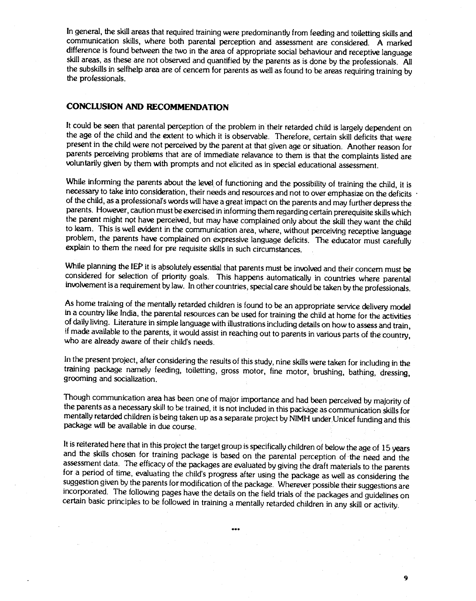In general, the skill areas that required training were predominantly from feeding and toiletting skills and communication skills, where both parental perception and assessment are considered. A marked difference is found between the two in the area of appropriate social behaviour and receptive language skill areas, as these are not observed and quantified by the parents as is done by the professionals. All the subskills in selfhelp area are of cencern for parents as well as found to be areas requiring training by the professionals.

#### CONCLUSION AND RECOMMENDATION

It could be seen that parental perception of the problem in their retarded child is largely dependent on the age of the child and the extent to which it is observable. Therefore, certain skill deficits that were present in the child were not perceived by the parent at that given age or situation. Another reason for parents perceiving problems that are of immediate relavance to them is that the complaints listed are voluntarily given by them with prompts and not elicited as in special educational assessment.

While informing the parents about the level of functioning and the possibility of training the child, it is necessary to take into consideration, their needs and resources and not to over emphasize on the deficits of the child, as a professional's words will have a great impact on the parents andmay further depress the parents. However, caution must be exercised in informing them regarding certain prerequisite skills which the parent might not have perceived, but may have complained only about the skill they want the child to learn. This is well evident in the communication area, where, without perceiving receptive language problem, the parents have complained on expressive language deficits. The educator must carefully explain to them the need for pre requisite skills in such circumstances.

While planning the IEP it is absolutely essential that parents must be involved and their concern must be considered for selection of priority goals. This happens automatically in countries where parental involvement is a requirement bylaw. In other countries, special care should be taken by the professionals.

As home training of the mentally retarded children is found to be an appropriate service delivery model in a country like India, the parental resources can be used for training the child at home for the activities of daily living. Literature in simple language with illustrations including detailson how to assess and train, if made available to the parents, it would assist in reaching out to parents invarious parts of the country, who are already aware of their child's needs.

In the present project, after considering the results of this study, nine skills were taken for including in the training package namely feeding, toiletting, gross motor, fine motor, brushing, bathing, dressing, grooming and socialization.

Though communication area has been one of major importance and had been perceived bymajority of the parents as a necessary skill to be trained, it is not included in this package as communication skills for mentally retarded children is being taken up as a separate project by NIMH under Unicef funding and this package will be available in due course.

It is reiterated here that in this project the target group is specifically children of below the age of 15 years and the skills chosen for training package is based on the parental perception of the need and the assessment data. The efficacy of the packages are evaluated by giving the draft materials to the parents for a period of time, evaluating the child's progress after using the package as well as considering the suggestion given by the parents for modification of the package. Wherever possible their suggestions are incorporated. The following pages have the details on the field trials of the packages and guidelines on certain basic principles to be followed in training a mentally retarded children in any skill or activity.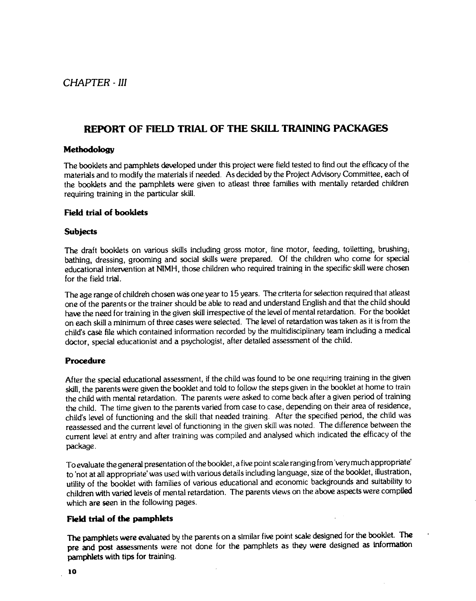# <span id="page-16-0"></span>REPORT OF FIELD TRIAL OF THE SKILL TRAINING PACKAGES

#### Methodology

The booklets and pamphlets developed under this project were field tested to find out the efficacy of the materials and to modify the materials if needed. As decided by the Project Advisory Committee, each of the booklets and the pamphlets were given to atleast three families with mentally retarded children requiring training in the particular skill.

#### Field trial of booklets

#### **Subjects**

The draft booklets on various skills including gross motor, fine motor, feeding, toiletting, brushing; bathing, dressing, grooming and social skills were prepared. Of the children who come for special educational intervention at NIMH, those children who required training in the specific skill were chosen for the field trial.

The age range of childreh chosen was one year to 15 years. The criteria for selection required that atleast one of the parents or the trainer should be able to read and understand English and that the child should have the need for training in the given skill irrespective of the level of mental retardation. For the booklet on each skill a minimum of three cases were selected. The level of retardation was taken as it is from the child's case file which contained information recorded by the multidisciplinary team including a medical doctor, special educationist and a psychologist, after detailed assessment of the child.

#### Procedure

After the special educational assessment, if the child was found to be one requiring training in the given skill, the parents were given the booklet and told to follow the steps given in the booklet at home to train the child with mental retardation. The parents were asked to come back after a given period of training the child. The time given to the parents varied from case to case, depending on their area of residence, child's level of functioning and the skill that needed training. After the specified period, the child was reassessed and the current level of functioning in the given skill was noted. The difference between the current level at entry and after training was compiled and analysed which indicated the efficacy of the package.

To evaluate the general presentation of the booklet, a five point scale ranging from very much appropriate' to 'not at all appropriate' was used with various details including language, size of the booklet, illustration, utility of the booklet with families of various educational and economic backgrounds and suitability to children with varied levels of mental retardation. The parents views on the above aspects were compiled which are seen in the following pages.

#### Field trial of the pamphlets

The pamphlets were evaluated by the parents on a similar five point scale designed for the booklet. The pre and post assessments were not done for the pamphlets as they were designed as information pamphlets with tips for training.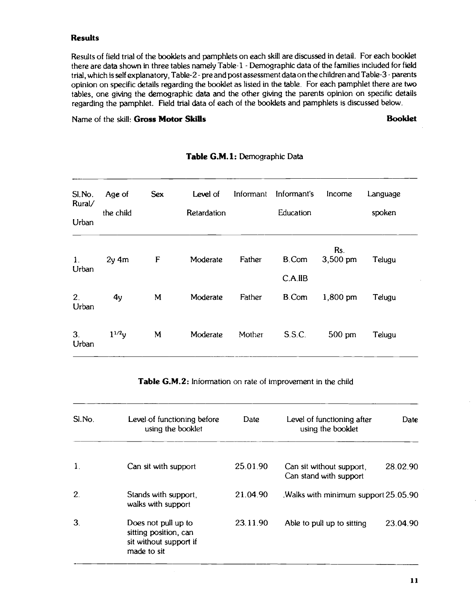#### Results

Results of field trial of the booklets and pamphlets on each skill are discussed in detail. For each booklet there are data shown in three tables namely Table-1 - Demographic data of the families included for field trial, which is self explanatory, Table-2 - pre and post assessment data on the children and Table-3 - parents opinion on specific details regarding the booklet as listed in the table. For each pamphlet there are two tables, one giving the demographic data and the other giving the parents opinion on specific details regarding the pamphlet. Field trial data of each of the booklets and pamphlets is discussed below.

Name of the skill: Gross Motor Skills Booklet

| SI.No.<br>Rural/        | Age of     | <b>Sex</b> | Level of    | Informant | Informant's             | Income          | Language |
|-------------------------|------------|------------|-------------|-----------|-------------------------|-----------------|----------|
| Urban                   | the child  |            | Retardation |           | Education               |                 | spoken   |
| 1 <sub>1</sub><br>Urban | $2y$ 4m    | F          | Moderate    | Father    | B.Com                   | Rs.<br>3,500 pm | Telugu   |
| 2 <sub>1</sub><br>Urban | 4y         | M          | Moderate    | Father    | C.A.IIB<br><b>B.Com</b> | 1,800 pm        | Telugu   |
| 3 <sub>1</sub><br>Urban | $1^{1/2}y$ | M          | Moderate    | Mother    | S.S.C.                  | 500 pm          | Telugu   |

#### Table G.M.1: Demographic Data

Table G.M.2: Information on rate of improvement in the child

| SI.No.         | Level of functioning before<br>using the booklet                                      | Date     | Level of functioning after<br>using the booklet    | Date     |
|----------------|---------------------------------------------------------------------------------------|----------|----------------------------------------------------|----------|
| $\mathbf{1}$ . | Can sit with support                                                                  | 25.01.90 | Can sit without support,<br>Can stand with support | 28.02.90 |
| 2.             | Stands with support,<br>walks with support                                            | 21.04.90 | Walks with minimum support 25.05.90                |          |
| 3.             | Does not pull up to<br>sitting position, can<br>sit without support if<br>made to sit | 23.11.90 | Able to pull up to sitting                         | 23.04.90 |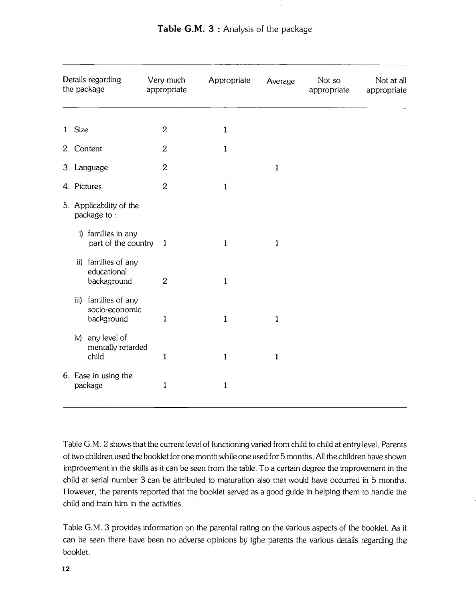|         | Details regarding<br>the package                     | Very much<br>appropriate | Appropriate  | Average      | Not so<br>appropriate | Not at all<br>appropriate |
|---------|------------------------------------------------------|--------------------------|--------------|--------------|-----------------------|---------------------------|
| 1. Size |                                                      | $\boldsymbol{2}$         | $\mathbf{1}$ |              |                       |                           |
|         | 2. Content                                           | $\overline{2}$           | $\mathbf{1}$ |              |                       |                           |
|         | 3. Language                                          | $\boldsymbol{2}$         |              | $\mathbf{1}$ |                       |                           |
|         | 4. Pictures                                          | $\boldsymbol{2}$         | $\mathbf{1}$ |              |                       |                           |
|         | 5. Applicability of the<br>package to:               |                          |              |              |                       |                           |
|         | i) families in any<br>part of the country            | $\mathbf{1}$             | $\mathbf{1}$ | $\mathbf{1}$ |                       |                           |
|         | ii) families of any<br>educational<br>backaground    | $\mathbf{2}$             | $\mathbf{1}$ |              |                       |                           |
|         | iii) families of any<br>socio-economic<br>background | $\mathbf{1}$             | $\mathbf{1}$ | $\mathbf{1}$ |                       |                           |
|         | iv) any level of<br>mentally retarded<br>child       | $\mathbf{1}$             | $\mathbf{1}$ | $\mathbf{1}$ |                       |                           |
|         | 6. Ease in using the<br>package                      | $\mathbf{1}$             | $\mathbf{1}$ |              |                       |                           |

Table G.M. 2 shows that the current level of functioning varied from child to child at entry level. Parents of two children used the booklet for one month while one used for 5 months. All the children have shown improvement in the skills as it can be seen from the table. To a certain degree the improvement in the child at serial number 3 can be attributed to maturation also that would have occurred in 5 months. However, the parents reported that the booklet served as a good guide in helping them to handle the child and train him in the activities.

Table G.M. 3 provides information on the parental rating on the 'arious aspects of the booklet. As it can be seen there have been no adverse opinions by tghe parents the various details regarding the booklet.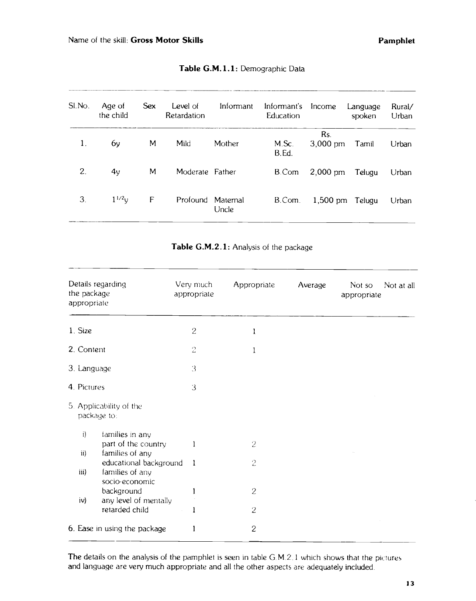| SI.No. | Age of<br>the child | <b>Sex</b> | Level of<br>Retardation | Informant        | Informant's<br>Education | Income                    | Language<br>spoken | Rural/<br>Urban |
|--------|---------------------|------------|-------------------------|------------------|--------------------------|---------------------------|--------------------|-----------------|
| 1.     | 6y                  | M          | Mild                    | Mother           | M.Sc.<br>B.Ed.           | Rs.<br>$3,000 \text{ pm}$ | Tamil              | Urban           |
| 2.     | 4y                  | M          | Moderate Father         |                  | B.Com                    | $2,000$ pm                | Telugu             | Urban           |
| 3.     | $1^{1/2}v$          | F          | Profound                | Matemal<br>Uncle | B.Com.                   | $1,500$ pm                | Telugu             | Urban           |

#### Table G.M.1.1: Demographic Data

| Table G.M.2.1: Analysis of the package |  |
|----------------------------------------|--|
|----------------------------------------|--|

| Details regarding<br>the package<br>appropriate                                            | Very much<br>appropriate | Appropriate    | Average | Not so<br>Not at all<br>appropriate |
|--------------------------------------------------------------------------------------------|--------------------------|----------------|---------|-------------------------------------|
| 1. Size                                                                                    | $\overline{c}$           |                |         |                                     |
| 2. Content                                                                                 | 2                        |                |         |                                     |
| 3. Language                                                                                | 3                        |                |         |                                     |
| 4. Pictures                                                                                | 3                        |                |         |                                     |
| 5. Applicability of the<br>package to:                                                     |                          |                |         |                                     |
| $\mathbf{i}$<br>families in any<br>part of the country<br>families of any<br>$\mathbf{ii}$ | 1                        | $\overline{2}$ |         |                                     |
| educational background<br>families of any<br>iii)                                          | -1                       | $\overline{c}$ |         |                                     |
| socio-economic<br>background<br>any level of mentally<br>iv)                               |                          | $\mathbf{2}$   |         |                                     |
| retarded child                                                                             | 1                        | $\overline{c}$ |         |                                     |
| 6. Ease in using the package                                                               |                          | $\overline{c}$ |         |                                     |
|                                                                                            |                          |                |         |                                     |

The details on the analysis of the pamphlet is seen in table G.M.2.1 which shows that the pictures and language are very much appropriate and all the other aspects are adequately included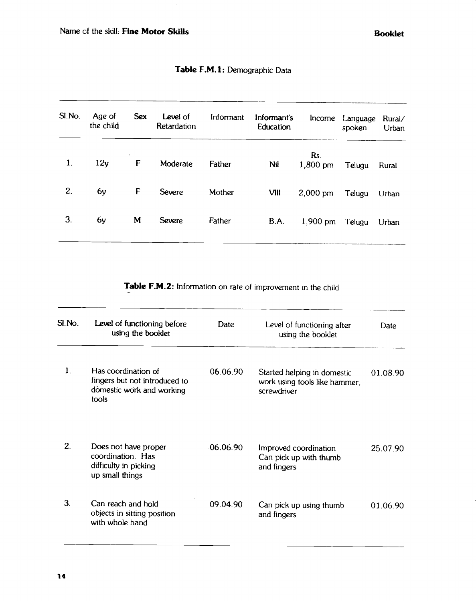| Age of<br>the child | <b>Sex</b> | <b>Level</b> of<br>Retardation | Informant | Informant's<br>Education | Income             | spoken | Rural/<br>Urban |
|---------------------|------------|--------------------------------|-----------|--------------------------|--------------------|--------|-----------------|
| 12y                 | F          | Moderate                       | Father    | Nil                      | Rs.<br>$1,800$ pm  | Telugu | Rural           |
| 6y                  | F          | Severe                         | Mother    | VIII                     | $2,000 \text{ pm}$ | Telugu | Urban           |
| 6y                  | M          | <b>Severe</b>                  | Father    | B.A.                     | $1,900$ pm         | Telugu | Urban           |
|                     |            |                                |           |                          |                    |        | Language        |

### Table F.M.1: Demographic Data

Table F.M.2: Information on rate of improvement in the child

| SI.No.       | Level of functioning before<br>using the booklet                                           | Date     | Level of functioning after<br>using the booklet                             | Date     |
|--------------|--------------------------------------------------------------------------------------------|----------|-----------------------------------------------------------------------------|----------|
| $\mathbf{1}$ | Has coordination of<br>fingers but not introduced to<br>domestic work and working<br>tools | 06.06.90 | Started helping in domestic<br>work using tools like hammer.<br>screwdriver | 01.08.90 |
| $2_{\cdot}$  | Does not have proper<br>coordination. Has<br>difficulty in picking<br>up small things      | 06.06.90 | Improved coordination<br>Can pick up with thumb<br>and fingers              | 25.07.90 |
| 3.           | Can reach and hold<br>objects in sitting position<br>with whole hand                       | 09.04.90 | Can pick up using thumb<br>and fingers                                      | 01.06.90 |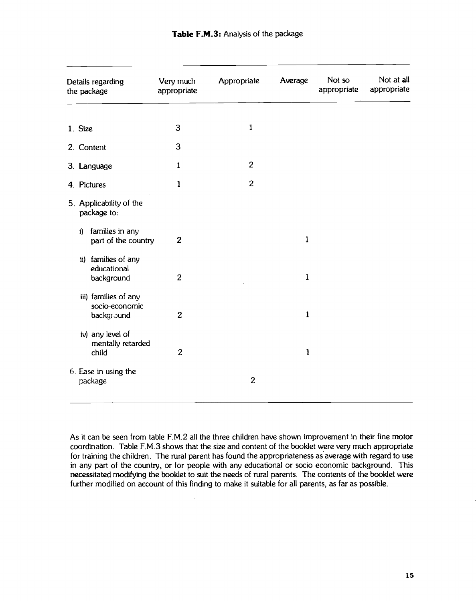| Details regarding<br>the package                     | Very much<br>appropriate | Appropriate    | Average      | Not so<br>appropriate | Not at all<br>appropriate |
|------------------------------------------------------|--------------------------|----------------|--------------|-----------------------|---------------------------|
| 1. Size                                              | 3                        | $\mathbf{1}$   |              |                       |                           |
| 2. Content                                           | 3                        |                |              |                       |                           |
| 3. Language                                          | 1                        | $\overline{c}$ |              |                       |                           |
| 4. Pictures                                          | 1                        | $\overline{2}$ |              |                       |                           |
| 5. Applicability of the<br>package to:               |                          |                |              |                       |                           |
| families in any<br>i)<br>part of the country         | $\boldsymbol{2}$         |                | $\mathbf{1}$ |                       |                           |
| ii) families of any<br>educational<br>background     | $\overline{c}$           |                | $\mathbf{1}$ |                       |                           |
| iii) families of any<br>socio-economic<br>background | $\boldsymbol{2}$         |                | $\mathbf{1}$ |                       |                           |
| iv) any level of<br>mentally retarded<br>child       | $\overline{2}$           |                | $\mathbf{1}$ |                       |                           |
| 6. Ease in using the<br>package                      |                          | $\overline{2}$ |              |                       |                           |

As it can be seen from table F.M.2 all the three children have shown improvement in their fine motor coordination. Table F.M.3 shows that the size and content of the booklet were very much appropriate for training the children. The rural parent has found the appropriateness as average with regard to use in any part of the country, or for people with any educational or socio economic background. This necessitated modifying the booklet to suit the needs of rural parents. The contents of the booklet were further modified on account of this finding to make it suitable for all parents, as far as possible.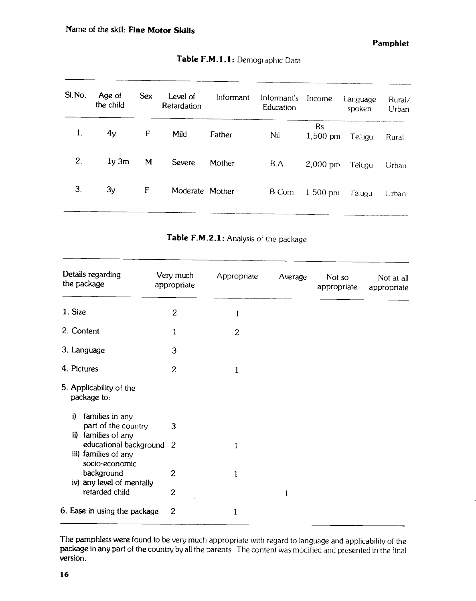| SI.No. | Age of<br>the child | <b>Sex</b> | Level of<br>Retardation | Informant | Informant's<br>Education | Income             | Language<br>spoken | Rural/<br>Urban |
|--------|---------------------|------------|-------------------------|-----------|--------------------------|--------------------|--------------------|-----------------|
| 1.     | 4y                  | F          | Mild                    | Father    | Nil                      | Rs.<br>$1,500$ pm  | Telugu             | Rural           |
| 2.     | $1y \, 3m$          | M          | Severe                  | Mother    | B.A                      | $2,000 \text{ pm}$ | Telugu             | Urban           |
| 3.     | 3y                  | F          | Moderate Mother         |           | B.Com.                   | $1,500 \text{ pm}$ | Telugu             | Urban           |

## Table F.M.1.1: Demographic Data

Table F.M.2.1: Analysis of the package

| Details regarding<br>the package                                    | Very much<br>appropriate | Appropriate    | Average | Not so<br>appropriate | Not at all<br>appropriate |
|---------------------------------------------------------------------|--------------------------|----------------|---------|-----------------------|---------------------------|
| 1. Size                                                             | $\overline{2}$           | 1              |         |                       |                           |
| 2. Content                                                          | $\mathbf{1}$             | $\overline{c}$ |         |                       |                           |
| 3. Language                                                         | 3                        |                |         |                       |                           |
| 4. Pictures                                                         | $\overline{c}$           | $\mathbf 1$    |         |                       |                           |
| 5. Applicability of the<br>package to:                              |                          |                |         |                       |                           |
| families in any<br>i)<br>part of the country<br>ii) families of any | 3                        |                |         |                       |                           |
| educational background 2<br>iii) families of any<br>socio-economic  |                          | 1              |         |                       |                           |
| background<br>iv) any level of mentally                             | 2                        | 1              |         |                       |                           |
| retarded child                                                      | $\overline{2}$           |                | 1       |                       |                           |
| 6. Ease in using the package                                        | $\mathbf{2}$             | 1              |         |                       |                           |

The pamphlets were found to be very much appropriate with regard to language and applicability of the package in any part of the country by all the parents. The content was modified and presented in the final version.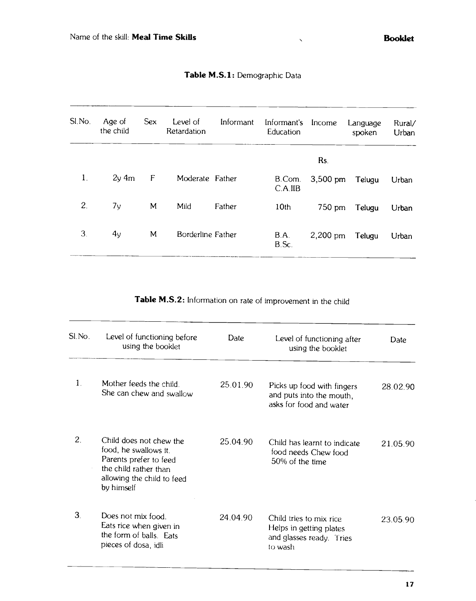| SI.No.       | Age of<br>the child | <b>Sex</b> | Level of<br>Retardation | Informant | Informant's<br>Education | Income     | Language<br>spoken | Rural/<br>Urban |
|--------------|---------------------|------------|-------------------------|-----------|--------------------------|------------|--------------------|-----------------|
|              |                     |            |                         |           |                          | Rs.        |                    |                 |
| $\mathbf{1}$ | $2y \, 4m$          | F          | Moderate Father         |           | B.Com.<br>C.A.IIB        | 3,500 pm   | Telugu             | Urban           |
| 2.           | 7y                  | M          | Mild                    | Father    | 10 <sub>th</sub>         | 750 pm     | Telugu             | Urban           |
| 3.           | 4y                  | M          | Borderline Father       |           | B.A.<br>B.Sc.            | $2,200$ pm | Telugu             | Urban           |

# Table M.S.1: Demographic Data

Table M.S.2: Information on rate of improvement in the child

| SI.No.         | Level of functioning before<br>using the booklet                                                                                                | Date     | Level of functioning after<br>using the booklet                                           | Date     |
|----------------|-------------------------------------------------------------------------------------------------------------------------------------------------|----------|-------------------------------------------------------------------------------------------|----------|
| $\mathbf{1}$ . | Mother feeds the child.<br>She can chew and swallow                                                                                             | 25.01.90 | Picks up food with fingers<br>and puts into the mouth,<br>asks for food and water         | 28.02.90 |
| 2.             | Child does not chew the<br>food, he swallows it.<br>Parents prefer to feed<br>the child rather than<br>allowing the child to feed<br>by himself | 25.04.90 | Child has learnt to indicate<br>food needs Chew food<br>50% of the time                   | 21.05.90 |
| 3.             | Does not mix food.<br>Eats rice when given in<br>the form of balls. Eats<br>pieces of dosa, idli                                                | 24.04.90 | Child tries to mix rice<br>Helps in getting plates<br>and glasses ready. Tries<br>to wash | 23.05.90 |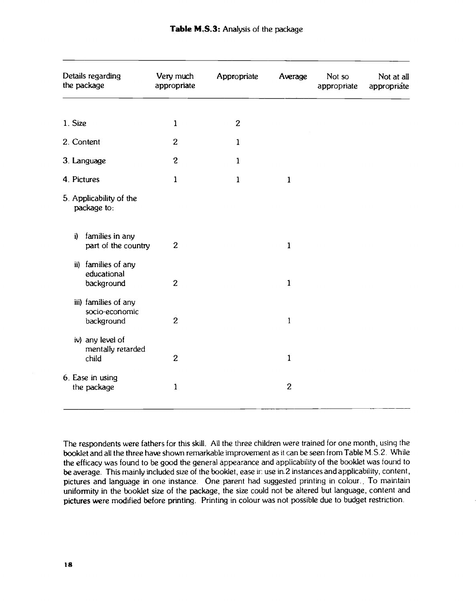| Details regarding<br>the package                     | Very much<br>appropriate | Appropriate    | Average        | Not so<br>appropriate | Not at all<br>appropriate |
|------------------------------------------------------|--------------------------|----------------|----------------|-----------------------|---------------------------|
| 1. Size                                              | $\mathbf{1}$             | $\overline{c}$ |                |                       |                           |
| 2. Content                                           | $\overline{2}$           | $\mathbf{1}$   |                |                       |                           |
| 3. Language                                          | $\boldsymbol{2}$         | $\mathbf{1}$   |                |                       |                           |
| 4. Pictures                                          | $\mathbf{1}$             | $\mathbf{1}$   | $\mathbf{1}$   |                       |                           |
| 5. Applicability of the<br>package to:               |                          |                |                |                       |                           |
| families in any<br>i)<br>part of the country         | $\mathbf{2}$             |                | $\mathbf{1}$   |                       |                           |
| ii) families of any<br>educational<br>background     | $\overline{c}$           |                | $\mathbf{1}$   |                       |                           |
| iii) families of any<br>socio-economic<br>background | $\overline{2}$           |                | $\mathbf{1}$   |                       |                           |
| iv) any level of<br>mentally retarded<br>child       | $\overline{2}$           |                | $\mathbf{1}$   |                       |                           |
| 6. Ease in using<br>the package                      | $\mathbf{1}$             |                | $\overline{2}$ |                       |                           |

The respondents were fathers for this skill. All the three children were trained for one month, using the booklet and all the three have shown remarkable improvement as it can be seen from Table M.S.2. While the efficacy was found to be good the general appearance and applicability of the booklet was found to be average. This mainly included size of the booklet, ease ir. use in.2 instances and applicability, content, pictures and language in one instance. One parent had suggested printing in colour.. To maintain uniformity in the booklet size of the package, the size could not be altered but language, content and pictures were modified before printing. Printing in colour was not possible due to budget restriction.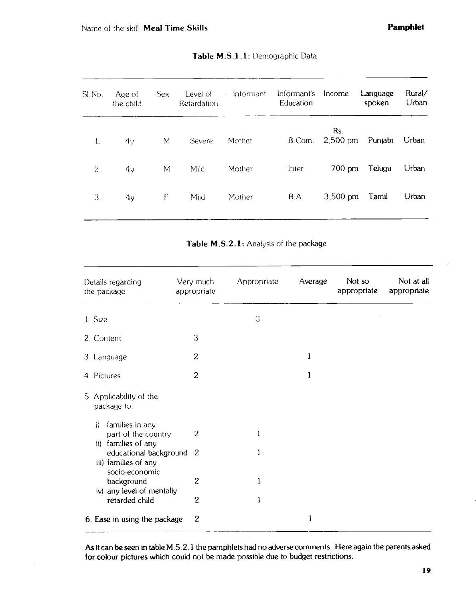| SI.No.         | Age of<br>the child | <b>Sex</b> | Level of<br>Retardation | Intormant<br>$\sim$ $\sim$ | Informant's<br>Education | Income                    | Language<br>spoken | Rural/<br>Urban |
|----------------|---------------------|------------|-------------------------|----------------------------|--------------------------|---------------------------|--------------------|-----------------|
| $\mathbf{1}$ . | 4v                  | M          | <b>Severe</b>           | Mother                     | B.Com.                   | Rs.<br>$2,500 \text{ pm}$ | Punjabi            | Urban           |
| 2.             | 4v                  | M          | Mild                    | Mother                     | Inter                    | $700 \text{ pm}$          | Telugu             | Urban           |
| 3.             | 4 <sub>y</sub>      | F          | Mild                    | Mother                     | B.A.                     | $3,500 \text{ pm}$        | Tamil              | Urban           |
|                |                     |            |                         |                            |                          |                           |                    |                 |

#### Table M.S.1.1: Demographic Data

Table M.S.2.1: Analysis of the package

| Details regarding<br>the package                                                       | Very much<br>appropriate | Appropriate | Average | Not so<br>appropriate | Not at all<br>appropriate |
|----------------------------------------------------------------------------------------|--------------------------|-------------|---------|-----------------------|---------------------------|
| 1. Size                                                                                |                          | 3           |         |                       |                           |
| 2. Content                                                                             | 3                        |             |         |                       |                           |
| 3. Language                                                                            | $\overline{c}$           |             | 1       |                       |                           |
| 4. Pictures                                                                            | $\overline{2}$           |             | 1       |                       |                           |
| 5. Applicability of the<br>package to:<br>families in any<br>j)<br>part of the country | $\mathbf{2}$             | 1           |         |                       |                           |
| families of any<br>ii)<br>educational background 2<br>iii) families of any             |                          | 1           |         |                       |                           |
| socio-economic<br>background<br>iv) any level of mentally                              | $\overline{c}$           | 1           |         |                       |                           |
| retarded child                                                                         | $\overline{2}$           | 1           |         |                       |                           |
| 6. Ease in using the package                                                           | $\overline{c}$           |             | 1       |                       |                           |

As it can be seen in table M .S. 2.1 the pamphlets had no adverse comments. Here again the parents asked for colour pictures which could not be made possible due to budget restrictions.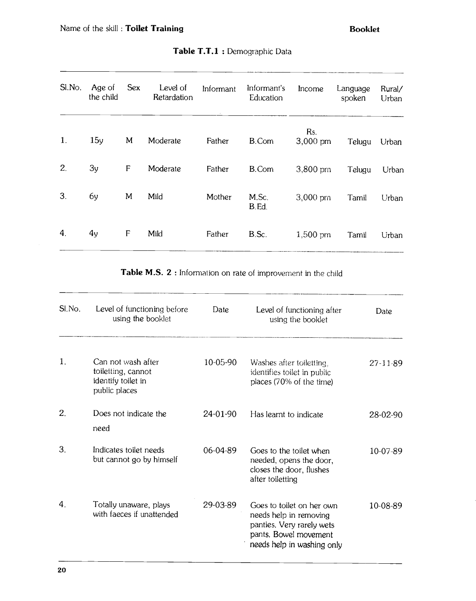| SI.No.         | Age of<br>the child | <b>Sex</b>  | Level of<br>Retardation | Informant | Informant's<br>Education | Income             | Language<br>spoken | Rural/<br>Urban |
|----------------|---------------------|-------------|-------------------------|-----------|--------------------------|--------------------|--------------------|-----------------|
| $\mathbf{1}$ . | 15y                 | M           | Moderate                | Father    | B.Com                    | Rs.<br>$3,000$ pm  | Telugu             | Urban           |
| 2.             | 3y                  | $\mathsf F$ | Moderate                | Father    | B.Com                    | $3,800 \text{ pm}$ | Telugu             | Urban           |
| 3.             | 6y                  | M           | Mild                    | Mother    | M.Sc.<br>B.Ed.           | $3,000$ pm         | Tamil              | Urban           |
| 4.             | 4y                  | F           | Mild                    | Father    | B.Sc.                    | 1,500 pm           | Tamil              | Urban           |

### Table T.T.1 : Demographic Data

Table M.S. 2 : Information on rate of improvement in the child

| SI.No.         | Level of functioning before<br>using the booklet                                | Date     | Level of functioning after<br>using the booklet                                                                                         | Date           |
|----------------|---------------------------------------------------------------------------------|----------|-----------------------------------------------------------------------------------------------------------------------------------------|----------------|
| $\mathbf{1}$ . | Can not wash after<br>toiletting, cannot<br>identify toilet in<br>public places | 10-05-90 | Washes after toiletting.<br>identifies toilet in public<br>places (70% of the time)                                                     | $27 - 11 - 89$ |
| 2.             | Does not indicate the<br>need                                                   | 24-01-90 | Has learnt to indicate                                                                                                                  | 28-02-90       |
| 3.             | Indicates toilet needs<br>but cannot go by himself                              | 06-04-89 | Goes to the toilet when<br>needed, opens the door,<br>closes the door, flushes<br>after toiletting                                      | 10-07-89       |
| 4.             | Totally unaware, plays<br>with faeces if unattended                             | 29-03-89 | Goes to toilet on her own<br>needs help in removing<br>panties. Very rarely wets<br>pants. Bowel movement<br>needs help in washing only | 10-08-89       |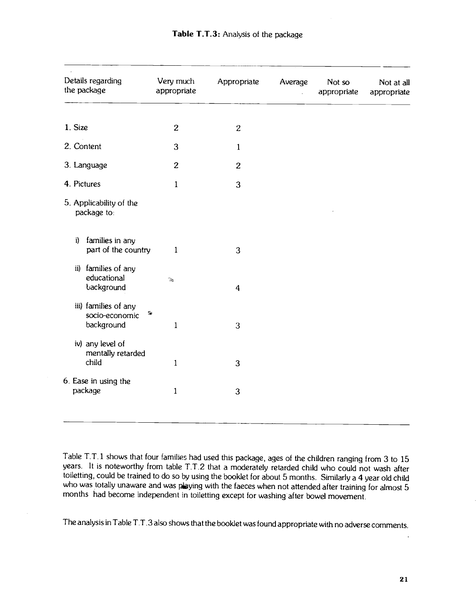| Details regarding<br>the package                     | Very much<br>appropriate                  | Appropriate             | Average | Not so<br>appropriate | Not at all<br>appropriate |
|------------------------------------------------------|-------------------------------------------|-------------------------|---------|-----------------------|---------------------------|
| 1. Size                                              | $\overline{c}$                            | $\overline{c}$          |         |                       |                           |
| 2. Content                                           | 3                                         | $\mathbf{1}$            |         |                       |                           |
| 3. Language                                          | $\overline{c}$                            | $\overline{2}$          |         |                       |                           |
| 4. Pictures                                          | $\mathbf{1}$                              | 3                       |         |                       |                           |
| 5. Applicability of the<br>package to:               |                                           |                         |         |                       |                           |
| families in any<br>i)<br>part of the country         | 1                                         | 3                       |         |                       |                           |
| families of any<br>ii)<br>educational<br>background  | $\mathcal{P}_{\mathcal{R}}^{\mathcal{P}}$ | $\overline{\mathbf{4}}$ |         |                       |                           |
| iii) families of any<br>socio-economic<br>background | 豁<br>$\mathbf{1}$                         | 3                       |         |                       |                           |
| iv) any level of<br>mentally retarded<br>child       | $\mathbf{1}$                              | 3                       |         |                       |                           |
| 6. Ease in using the<br>package                      | $\mathbf{1}$                              | 3                       |         |                       |                           |

Table T.T. 1 shows that four families had used this package, ages of the children ranging from 3 to 15 years. It is noteworthy from table T.T.2 that a moderately retarded child who could not wash after toiletting, could be trained to do so by using the booklet for about 5 months. Similarly a 4 year old child who was totally unaware and was playing with the faeces when not attended after training for almost 5 months had become independent in toiletting except for washing after bowel movement.

The analysis in Table T.T. 3 also shows that the booklet was found appropriate with no adverse comments.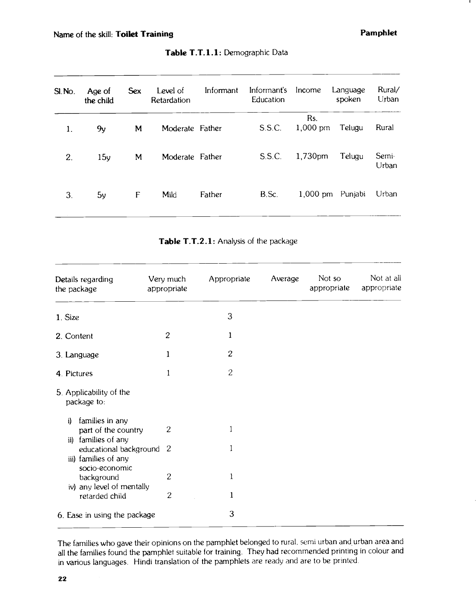| SI.No. | Age of<br>the child | <b>Sex</b> | Level of<br>Retardation | Informant | Informant's<br>Education | Income             | Language<br>spoken | Rural/<br>Urban |
|--------|---------------------|------------|-------------------------|-----------|--------------------------|--------------------|--------------------|-----------------|
| 1.     | 9y                  | M          | Moderate Father         |           | S.S.C.                   | Rs.<br>$1,000$ pm  | Telugu             | Rural           |
| 2.     | 15y                 | M          | Moderate Father         |           | S.S.C.                   | 1,730pm            | Telugu             | Semi-<br>Urban  |
| 3.     | 5y                  | F          | Mild                    | Father    | B.Sc.                    | $1,000 \text{ pm}$ | Punjabi            | Urban           |

### Table T.T.1.1: Demographic Data

Table T.T.2.1: Analysis of the package

| Details regarding<br>the package                                       | Very much<br>appropriate | Appropriate  | Average | Not so<br>appropriate | Not at all<br>appropriate |
|------------------------------------------------------------------------|--------------------------|--------------|---------|-----------------------|---------------------------|
| 1. Size                                                                |                          | 3            |         |                       |                           |
| 2. Content                                                             | $\boldsymbol{2}$         | 1            |         |                       |                           |
| 3. Language                                                            | 1                        | $\mathbf{2}$ |         |                       |                           |
| 4. Pictures                                                            | 1                        | $\mathbf{2}$ |         |                       |                           |
| 5. Applicability of the<br>package to:                                 |                          |              |         |                       |                           |
| families in any<br>i)<br>part of the country<br>families of any<br>ii) | $\mathbf{2}$             |              |         |                       |                           |
| educational background<br>iii) families of any<br>socio-economic       | -2                       |              |         |                       |                           |
| background<br>iv) any level of mentally                                | $\overline{c}$           | 1            |         |                       |                           |
| retarded child                                                         | $\overline{c}$           | 1            |         |                       |                           |
| 6. Ease in using the package                                           |                          | 3            |         |                       |                           |

The families who gave their opinions on the pamphlet belonged to rural, semi urban and urban area and all the families found the pamphlet suitable for training. They had recommended printing in colour and in various languages. Hindi translation of the pamphlets are ready and are to be printed.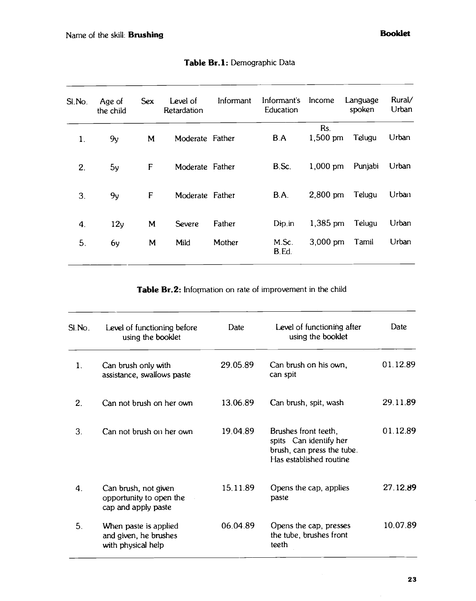| SI.No. | Age of<br>the child | <b>Sex</b> | Level of<br>Retardation | Informant | Informant's<br>Education | Income             | Language<br>spoken | Rural/<br>Urban |
|--------|---------------------|------------|-------------------------|-----------|--------------------------|--------------------|--------------------|-----------------|
| 1.     | 9y                  | M          | Moderate Father         |           | <b>B.A</b>               | Rs.<br>$1,500$ pm  | Telugu             | Urban           |
| 2.     | 5y                  | F          | Moderate Father         |           | B.Sc.                    | $1,000$ pm         | Punjabi            | Urban           |
| 3.     | 9y                  | F          | Moderate Father         |           | B.A.                     | 2,800 pm           | Telugu             | Urban           |
| 4.     | 12y                 | M          | <b>Severe</b>           | Father    | Dip.in                   | 1,385 pm           | Telugu             | Urban           |
| 5.     | 6y                  | M          | Mild                    | Mother    | M.Sc.<br>B.Ed.           | $3,000 \text{ pm}$ | Tamil              | Urban           |

Table Br.1: Demographic Data

Table Br.2: Information on rate of improvement in the child

| SI.No. | Level of functioning before<br>using the booklet                       | Date     | Level of functioning after<br>using the booklet                                                         | Date     |
|--------|------------------------------------------------------------------------|----------|---------------------------------------------------------------------------------------------------------|----------|
| 1.     | Can brush only with<br>assistance, swallows paste                      | 29.05.89 | Can brush on his own,<br>can spit                                                                       | 01.12.89 |
| 2.     | Can not brush on her own                                               | 13.06.89 | Can brush, spit, wash                                                                                   | 29.11.89 |
| 3.     | Can not brush on her own                                               | 19.04.89 | Brushes front teeth,<br>spits Can identify her<br>brush, can press the tube.<br>Has established routine | 01.12.89 |
| 4.     | Can brush, not given<br>opportunity to open the<br>cap and apply paste | 15.11.89 | Opens the cap, applies<br>paste                                                                         | 27.12.89 |
| 5.     | When paste is applied<br>and given, he brushes<br>with physical help   | 06.04.89 | Opens the cap, presses<br>the tube, brushes front<br>teeth                                              | 10.07.89 |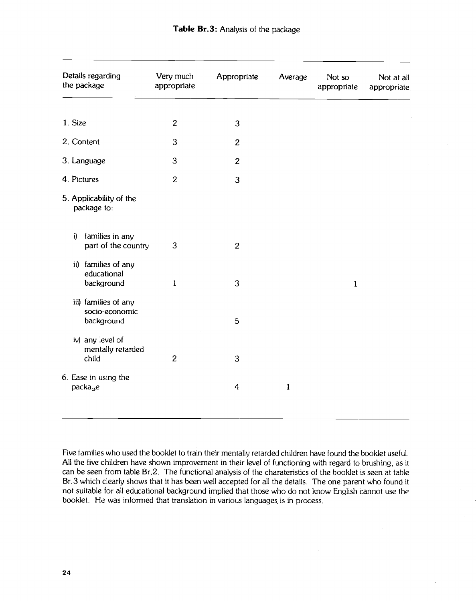| Details regarding<br>the package                     | Very much<br>appropriate | Appropriate      | Average      | Not so<br>appropriate | Not at all<br>appropriate. |
|------------------------------------------------------|--------------------------|------------------|--------------|-----------------------|----------------------------|
| 1. Size                                              | $\overline{c}$           | 3                |              |                       |                            |
| 2. Content                                           | 3                        | $\overline{c}$   |              |                       |                            |
| 3. Language                                          | 3                        | $\overline{c}$   |              |                       |                            |
| 4. Pictures                                          | $\overline{c}$           | 3                |              |                       |                            |
| 5. Applicability of the<br>package to:               |                          |                  |              |                       |                            |
| families in any<br>i)<br>part of the country         | 3                        | $\overline{c}$   |              |                       |                            |
| ii) families of any<br>educational<br>background     | $\mathbf{1}$             | 3                |              | $\mathbf{1}$          |                            |
| iii) families of any<br>socio-economic<br>background |                          | 5                |              |                       |                            |
| iv) any level of<br>mentally retarded<br>child       | $\overline{c}$           | 3                |              |                       |                            |
| 6. Ease in using the<br>packa <sub>se</sub>          |                          | $\boldsymbol{4}$ | $\mathbf{1}$ |                       |                            |

Five tamilies who used the booklet to train their mentally retarded children have found the booklet useful. All the five children have shown improvement in their level of functioning with regard to brushing, as it can be seen from table Br.2. The functional analysis of the charateristics of the booklet is seen at table Br.3 which clearly shows that it has been well accepted for all the details. The one parent who found it not suitable for all educational background implied that those who do not know English cannot use the booklet. He was informed that translation in various languages, is in process.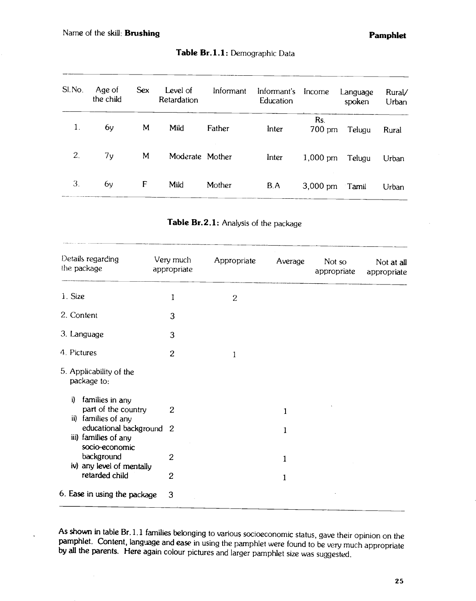$\ddot{\phantom{0}}$ 

| SI.No.                                     | Age of<br>the child | <b>Sex</b> | Level of<br>Retardation  | Informant                             | Informant's Income<br>Education |                       | Language<br>spoken | Rural/<br>Urban           |
|--------------------------------------------|---------------------|------------|--------------------------|---------------------------------------|---------------------------------|-----------------------|--------------------|---------------------------|
| л.                                         | 6y                  | M          | Mild                     | Father                                | Inter                           | Rs.<br>700 pm         | Telugu             | ______<br>Rural           |
| 2.                                         | 7y                  | M          | Moderate Mother          |                                       | Inter                           | 1,000 pm              | Telugu             | Urban                     |
| 3.                                         | 6v                  | F          | Mild                     | Mother                                | B.A                             | $3,000 \text{ pm}$    | Tamil              | Urban                     |
|                                            |                     |            |                          | Table Br.2.1: Analysis of the package |                                 |                       |                    |                           |
| <b>Symphonic Contractor</b><br>the package | Details regarding   |            | Very much<br>appropriate | Appropriate                           | Average                         | Not so<br>appropriate |                    | Not at all<br>appropriate |

Table Br.1.1: Demographic Data

| Table Br.2.1: Analysis of the package |  |  |
|---------------------------------------|--|--|
|---------------------------------------|--|--|

| Details regarding<br>the package                                    | Very much<br>appropriate | Appropriate  | Average | Not so<br>appropriate | Not at all<br>appropriate |
|---------------------------------------------------------------------|--------------------------|--------------|---------|-----------------------|---------------------------|
| 1. Size                                                             | 1                        | $\mathbf{2}$ |         |                       |                           |
| 2. Content                                                          | 3                        |              |         |                       |                           |
| 3. Language                                                         | 3                        |              |         |                       |                           |
| 4. Pictures                                                         | $\overline{2}$           |              |         |                       |                           |
| 5. Applicability of the<br>package to:                              |                          |              |         |                       |                           |
| i)<br>families in any<br>part of the country<br>ii) families of any | $\overline{c}$           |              | 1       |                       |                           |
| educational background 2<br>iii) families of any<br>socio-economic  |                          |              | 1       |                       |                           |
| background<br>iv) any level of mentally                             | 2                        |              | 1       |                       |                           |
| retarded child                                                      | $\overline{2}$           |              | 1       |                       |                           |
| 6. Ease in using the package                                        | 3                        |              |         |                       |                           |

As shown in table Br. 1.1 families belonging to various socioeconomic status, gave their opinion on the pamphlet. Content, language and ease in using the pamphlet were found to be very much appropriate by all the parents.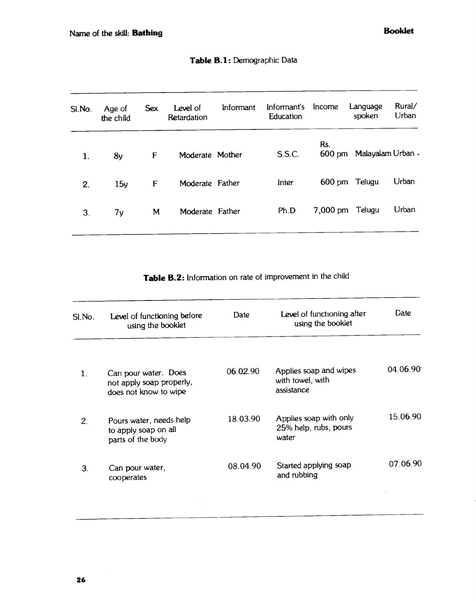| SI.No. | Age of<br>the child | <b>Sex</b> | Level of<br>Retardation | Informant | Informant's<br>Education | Income          | Language<br>spoken      | Rural/<br>Urban |
|--------|---------------------|------------|-------------------------|-----------|--------------------------|-----------------|-------------------------|-----------------|
| 1.     | 8y                  | F          | Moderate Mother         |           | S.S.C.                   | Rs.             | 600 pm Malayalam Urban. |                 |
| 2.     | 15y                 | F          | Moderate Father         |           | Inter                    |                 | 600 pm Telugu           | Urban           |
| 3.     | 7y                  | M          | Moderate Father         |           | Ph.D                     | 7,000 pm Telugu |                         | Urban           |
|        |                     |            |                         |           |                          |                 |                         |                 |

Table B.2: Information on rate of improvement in the child

| Level of functioning before<br>using the booklet                          | Date     | Level of functioning after<br>using the booklet          | Date     |
|---------------------------------------------------------------------------|----------|----------------------------------------------------------|----------|
| Can pour water. Does<br>not apply soap properly,<br>does not know to wipe | 06.02.90 | Applies soap and wipes<br>with towel, with<br>assistance | 04.06.90 |
| Pours water, needs help<br>to apply soap on all<br>parts of the body      | 18.03.90 | Applies soap with only<br>25% help, rubs, pours<br>water | 15.06.90 |
| Can pour water,<br>cooperates                                             | 08.04.90 | Started applying soap<br>and rubbing                     | 07.06.90 |
|                                                                           |          |                                                          |          |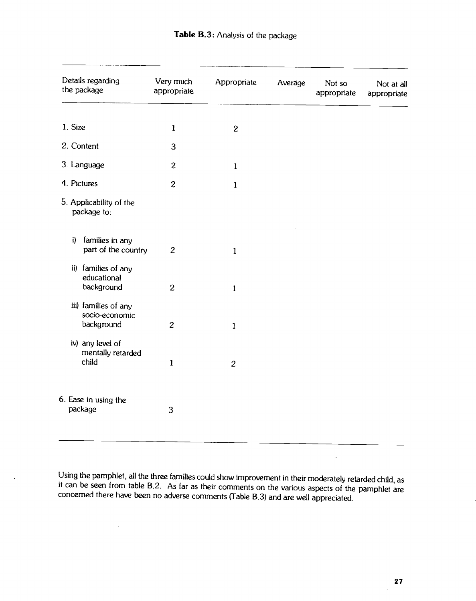|               | Details regarding<br>the package                     | Very much<br>appropriate | Appropriate      | Average | Not so<br>appropriate | Not at all<br>appropriate |
|---------------|------------------------------------------------------|--------------------------|------------------|---------|-----------------------|---------------------------|
| 1. Size       |                                                      | $\mathbf{1}$             | $\boldsymbol{2}$ |         |                       |                           |
|               | 2. Content                                           | 3                        |                  |         |                       |                           |
|               | 3. Language                                          | $\overline{c}$           | $\mathbf{1}$     |         |                       |                           |
|               | 4. Pictures                                          | $\overline{c}$           | $\mathbf{1}$     |         |                       |                           |
|               | 5. Applicability of the<br>package to:               |                          |                  |         |                       |                           |
| i)            | families in any<br>part of the country               | $\overline{c}$           | $\mathbf{1}$     |         |                       |                           |
| $\mathbf{ii}$ | families of any<br>educational<br>background         | $\boldsymbol{2}$         | $\mathbf{1}$     |         |                       |                           |
|               | iii) families of any<br>socio-economic<br>background | $\overline{c}$           | $\mathbf{1}$     |         |                       |                           |
|               | iv) any level of<br>mentally retarded<br>child       | $\mathbf{1}$             | $\overline{c}$   |         |                       |                           |
|               | 6. Ease in using the<br>package                      | 3                        |                  |         |                       |                           |

Using the pamphlet, all the three families could show improvement in their moderately retarded child, as it can be seen from table B.2. As far as their comments on the various aspects of the pamphlet are concerned there have been no adverse comments (Table B.3) and are well appreciated.

 $\ddot{\phantom{a}}$ 

 $\bar{z}$ 

 $\hat{\mathcal{A}}$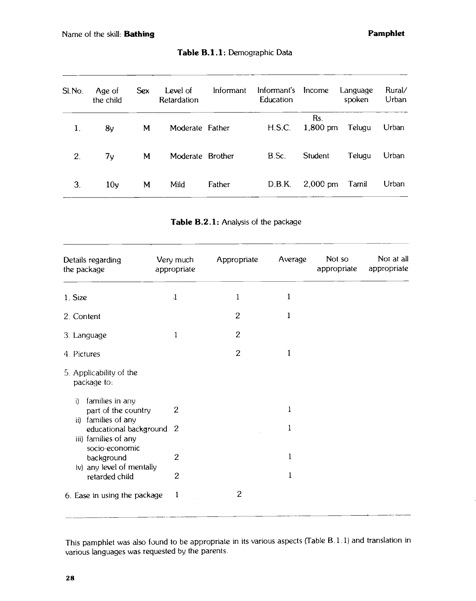| SI.No. | Age of<br>the child | <b>Sex</b> | Level of<br>Retardation | Informant | Informant's<br>Education | Income            | Language<br>spoken | Rural/<br>Urban |
|--------|---------------------|------------|-------------------------|-----------|--------------------------|-------------------|--------------------|-----------------|
| 1.     | 8y                  | M          | Moderate Father         |           | H.S.C.                   | Rs.<br>$1,800$ pm | Telugu             | Urban           |
| 2.     | 7 <sub>y</sub>      | M          | Moderate Brother        |           | B.Sc.                    | Student           | Telugu             | Urban           |
| 3.     | 10 <sub>y</sub>     | M          | Mild                    | Father    | D.B.K.                   | $2,000$ pm        | Tamil              | Urban           |

Table B.1.1: Demographic Data

|  |  | Table B.2.1: Analysis of the package |  |
|--|--|--------------------------------------|--|
|--|--|--------------------------------------|--|

| Details regarding<br>the package                                                                                                                                                                                                                    | Very much<br>appropriate                           | Appropriate    | Average                    | Not so<br>appropriate | Not at all<br>appropriate |
|-----------------------------------------------------------------------------------------------------------------------------------------------------------------------------------------------------------------------------------------------------|----------------------------------------------------|----------------|----------------------------|-----------------------|---------------------------|
| 1. Size                                                                                                                                                                                                                                             | $\mathbf{1}$                                       | 1              | $\mathbf{1}$               |                       |                           |
| 2. Content                                                                                                                                                                                                                                          |                                                    | $\overline{c}$ | 1                          |                       |                           |
| 3. Language                                                                                                                                                                                                                                         | 1                                                  | $\overline{c}$ |                            |                       |                           |
| 4. Pictures                                                                                                                                                                                                                                         |                                                    | $\overline{c}$ | 1                          |                       |                           |
| 5. Applicability of the<br>package to:<br>families in any<br>i)<br>part of the country<br>families of any<br>ii)<br>educational background 2<br>iii) families of any<br>socio-economic<br>background<br>iv) any level of mentally<br>retarded child | $\overline{c}$<br>$\overline{2}$<br>$\overline{c}$ |                | 1<br>1<br>1<br>$\mathbf 1$ |                       |                           |
| 6. Ease in using the package                                                                                                                                                                                                                        | $\mathbf 1$                                        | $\overline{c}$ |                            |                       |                           |

This pamphlet was also found to be appropriate in its various aspects (Table B. 1. 1) and translation in various languages was requested by the parents.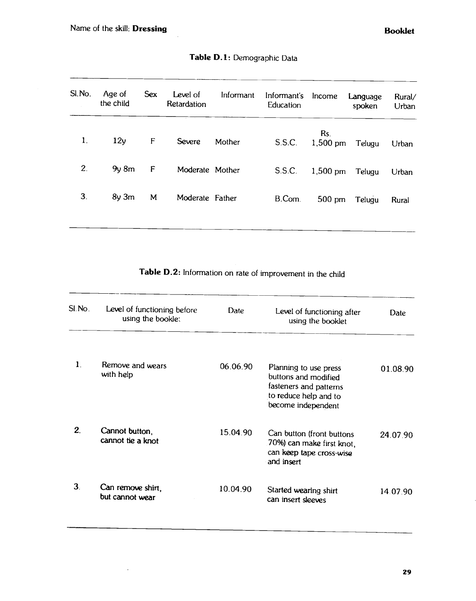— —

 $\ddot{\phantom{0}}$ 

| Sl.No. | Age of<br>the child | <b>Sex</b> | Level of<br>Retardation<br>. <del>. .</del> | Informant | Informant's<br>Education | Income            | Language<br>spoken | Rural/<br>Urban |
|--------|---------------------|------------|---------------------------------------------|-----------|--------------------------|-------------------|--------------------|-----------------|
| 1.     | 12v                 | F          | <b>Severe</b>                               | Mother    | S.S.C.                   | Rs.<br>$1,500$ pm | Telugu             | Urban           |
| 2.     | $9y$ 8 $m$          | F          | Moderate Mother                             |           | S.S.C.                   | $1,500$ pm        | Telugu             | Urban           |
| 3.     | $8y \, 3m$          | M          | Moderate Father                             |           | B.Com                    | $500 \text{ pm}$  | Telugu             | Rural           |
|        |                     |            |                                             |           |                          |                   |                    |                 |

# Table D.1: Demographic Data

Table D.2: Information on rate of improvement in the child

| SI.No.         | Level of functioning before<br>using the bookle: | Date     | Level of functioning after<br>using the booklet                                                                        | <b>Date</b> |
|----------------|--------------------------------------------------|----------|------------------------------------------------------------------------------------------------------------------------|-------------|
| 1.             | Remove and wears<br>with help                    | 06.06.90 | Planning to use press<br>buttons and modified<br>fasteners and patterns<br>to reduce help and to<br>become independent | 01.08.90    |
| 2.             | Cannot button,<br>cannot tie a knot              | 15.04.90 | Can button (front buttons<br>70%) can make first knot,<br>can keep tape cross-wise<br>and insert                       | 24.07.90    |
| 3 <sub>1</sub> | Can remove shirt,<br>but cannot wear             | 10.04.90 | Started wearing shirt<br>can insert sleeves                                                                            | 14.07.90    |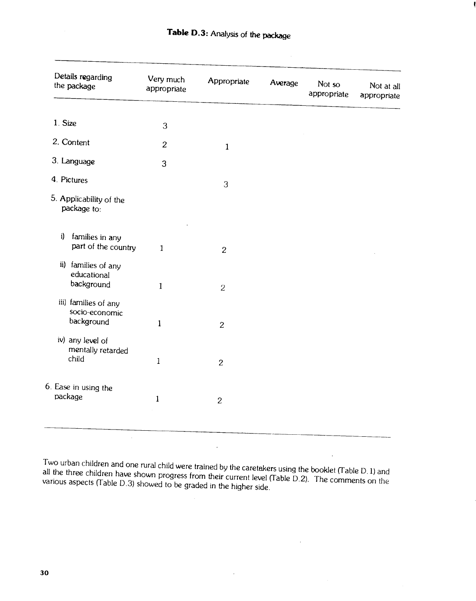| Details regarding<br>the package                     | Very much<br>appropriate | Appropriate    | Average | Not so<br>appropriate | Not at all<br>appropriate |
|------------------------------------------------------|--------------------------|----------------|---------|-----------------------|---------------------------|
|                                                      |                          |                |         |                       |                           |
| 1. Size                                              | 3                        |                |         |                       |                           |
| 2. Content                                           | $\overline{c}$           | $\mathbf{1}$   |         |                       |                           |
| 3. Language                                          | 3                        |                |         |                       |                           |
| 4. Pictures                                          |                          | 3              |         |                       |                           |
| 5. Applicability of the<br>package to:               |                          |                |         |                       |                           |
| families in any<br>i)<br>part of the country         | $\mathbf{1}$             | $\overline{c}$ |         |                       |                           |
| ii) families of any<br>educational<br>background     | $\mathbf{1}$             |                |         |                       |                           |
|                                                      |                          | $\overline{2}$ |         |                       |                           |
| iii) families of any<br>socio-economic<br>background | $\mathbf{1}$             | $\overline{c}$ |         |                       |                           |
| iv) any level of<br>mentally retarded<br>child       |                          |                |         |                       |                           |
|                                                      | $\mathbf{1}$             | $\overline{c}$ |         |                       |                           |
| 6. Ease in using the                                 |                          |                |         |                       |                           |
| package                                              | $\mathbf{1}$             | $\overline{c}$ |         |                       |                           |

Two urban children and one rural child were trained by the caretakers using the booklet (Table D.1) and all the three children have shown progress from their current level (Table D.2). The comments on the various aspects (

 $\ddot{\phantom{0}}$ 

 $\sim$  .

l,

 $\bar{z}$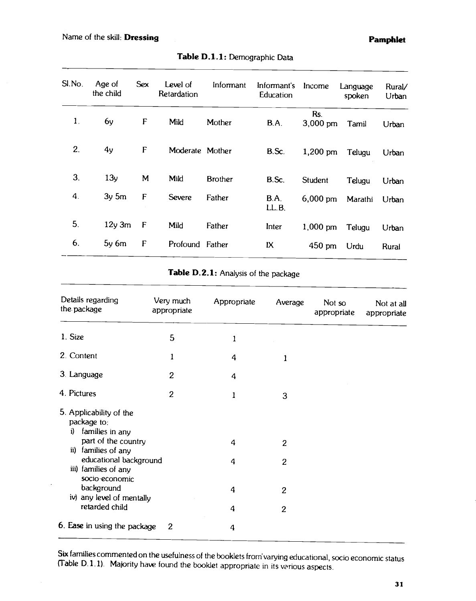| Sl.No.         | Age of<br>the child | <b>Sex</b> | Level of<br>Retardation | Informant      | Informant's<br>Education | Income             | Language<br>spoken | Rural/<br>Urban |
|----------------|---------------------|------------|-------------------------|----------------|--------------------------|--------------------|--------------------|-----------------|
| $\mathbf{1}$ . | 6y                  | F          | Mild                    | Mother         | B.A.                     | Rs.<br>$3,000$ pm  | Tamil              | Urban           |
| 2.             | 4y                  | F          | Moderate Mother         |                | B.Sc.                    | 1,200 pm           | Telugu             | Urban           |
| 3.             | 13y                 | M          | Mild                    | <b>Brother</b> | B.Sc.                    | Student            | Telugu             | Urban           |
| 4.             | $3y \, 5m$          | F          | <b>Severe</b>           | Father         | B.A.<br>LL.B.            | $6,000 \text{ pm}$ | Marathi            | Urban           |
| 5.             | $12y$ 3m            | F          | Mild                    | Father         | Inter                    | 1,000 pm           | Telugu             | Urban           |
| 6.             | $5y$ 6 $m$          | F          | Profound Father         |                | IX                       | 450 pm             | Urdu               | Rural           |

# Table D.1.1: Demographic Data

|  |  | Table D.2.1: Analysis of the package |  |
|--|--|--------------------------------------|--|
|--|--|--------------------------------------|--|

| Details regarding<br>the package                                                                                                           | Very much<br>appropriate | Appropriate | Average                        | Not so<br>appropriate | Not at all<br>appropriate |
|--------------------------------------------------------------------------------------------------------------------------------------------|--------------------------|-------------|--------------------------------|-----------------------|---------------------------|
| 1. Size                                                                                                                                    | 5                        | 1           |                                |                       |                           |
| 2. Content                                                                                                                                 | 1                        | 4           | 1                              |                       |                           |
| 3. Language                                                                                                                                | $\mathbf{2}$             | 4           |                                |                       |                           |
| 4. Pictures                                                                                                                                | $\overline{c}$           | 1           | 3                              |                       |                           |
| 5. Applicability of the<br>package to:<br>families in any<br>i)<br>part of the country<br>families of any<br>ii)<br>educational background |                          | 4           | $\overline{c}$                 |                       |                           |
| iii) families of any<br>socio-economic<br>background                                                                                       |                          | 4<br>4      | $\mathbf{2}$<br>$\overline{c}$ |                       |                           |
| iv) any level of mentally<br>retarded child                                                                                                |                          | 4           | $\overline{2}$                 |                       |                           |
| 6. Ease in using the package                                                                                                               | 2                        | 4           |                                |                       |                           |

Six families commented on the usefulness of the booklets from varying educational, socio economic status (Table D. 1.1). Majority have found the booklet appropriate in its variousaspects.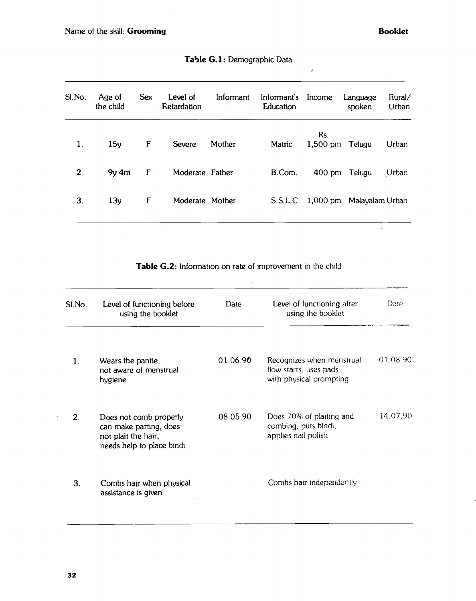\_\_\_\_\_\_\_\_

| SI.No. | Age of<br>the child | <b>Sex</b> | Level of<br>Retardation | Informant | Informant's<br>Education | Income                 | Language<br>spoken                | Rural/<br>Urban |
|--------|---------------------|------------|-------------------------|-----------|--------------------------|------------------------|-----------------------------------|-----------------|
| 1.     | 15y                 | F          | <b>Severe</b>           | Mother    | Matric                   | Rs.<br>1,500 pm Telugu |                                   | Urban           |
| 2.     | $9y$ 4 $m$          | F          | Moderate Father         |           | B.Com.                   |                        | 400 pm Telugu                     | Urban           |
| 3.     | 13y                 | F          | Moderate Mother         |           |                          |                        | S.S.L.C. 1,000 pm Malayalam Urban |                 |

|  |  | Table G.1: Demographic Data |  |
|--|--|-----------------------------|--|
|--|--|-----------------------------|--|

 $\hat{\mathbf{z}}$ 

Table G.2: Information on rate of improvement in the child

| SI.No.       | Level of functioning before<br>using the booklet                                                     | Date     | Level of functioning after<br>using the booklet                                | Date     |
|--------------|------------------------------------------------------------------------------------------------------|----------|--------------------------------------------------------------------------------|----------|
| $\mathbf{1}$ | Wears the pantie,<br>not aware of menstrual<br>hygiene                                               | 01.06.90 | Recognizes when menstrual<br>flow starts, uses pads<br>with physical prompting | 01.08.90 |
| 2.           | Does not comb properly<br>can make parting, does<br>not plait the hair,<br>needs help to place bindi | 08.05.90 | Does 70% of plaiting and<br>combing, puts bindi,<br>applies nail polish        | 14.07.90 |
| 3.           | Combs hair when physical<br>assistance is given                                                      |          | Combs hair independently                                                       |          |
|              |                                                                                                      |          |                                                                                |          |

 $\bar{z}$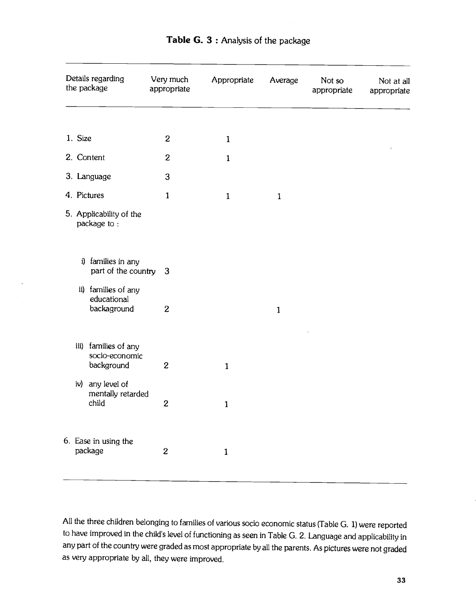| Details regarding<br>the package                     | Very much<br>appropriate | Appropriate  | Average      | Not so<br>appropriate | Not at all<br>appropriate |
|------------------------------------------------------|--------------------------|--------------|--------------|-----------------------|---------------------------|
|                                                      |                          |              |              |                       |                           |
| 1. Size                                              | $\boldsymbol{2}$         | $\mathbf{1}$ |              |                       | Ť,                        |
| 2. Content                                           | $\mathbf{2}$             | $\mathbf{1}$ |              |                       |                           |
| 3. Language                                          | 3                        |              |              |                       |                           |
| 4. Pictures                                          | $\mathbf{1}$             | $\mathbf{1}$ | $\mathbf{1}$ |                       |                           |
| 5. Applicability of the<br>package to:               |                          |              |              |                       |                           |
| i) families in any<br>part of the country 3          |                          |              |              |                       |                           |
| ii) families of any<br>educational<br>backaground    | $\overline{2}$           |              | $\mathbf{1}$ |                       |                           |
| iii) families of any<br>socio-economic<br>background | $\overline{2}$           | $\mathbf{1}$ |              |                       |                           |
| iv) any level of<br>mentally retarded<br>child       | $\mathbf{2}$             | $\mathbf{1}$ |              |                       |                           |
| 6. Ease in using the<br>package                      | $\mathbf{2}$             | $\mathbf{1}$ |              |                       |                           |

Table G. 3 : Analysis of the package

All the three children belonging to families of various socio economic status (Table G. 1) were reported to have improved in the child's level of functioning as seen in Table G. 2. Language andapplicability in any part of the country were graded as most appropriate by all the parents. As pictures were not graded as very appropriate by all, they were improved.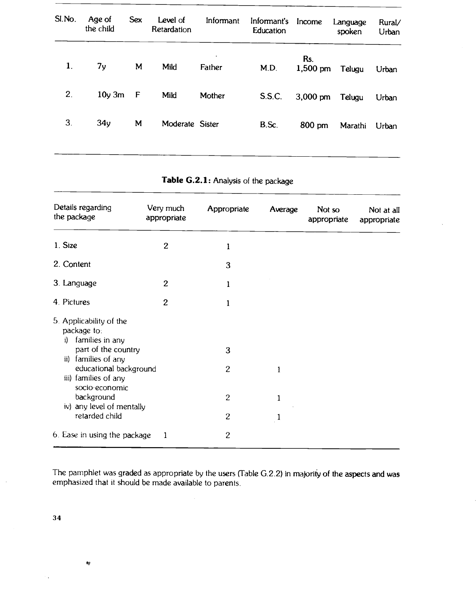| SI.No.         | Age of<br>the child | <b>Sex</b>   | Level of<br>Retardation | Informant   | Informant's<br>Education | Income             | Language<br>spoken | Rural/<br>Urban |
|----------------|---------------------|--------------|-------------------------|-------------|--------------------------|--------------------|--------------------|-----------------|
| $\mathbf{1}$ . | 7 <sub>y</sub>      | M            | Mild                    | ۰<br>Father | M.D.                     | Rs.<br>$1,500$ pm  | Telugu             | Urban           |
| 2.             | $10y$ 3m            | $\mathsf{F}$ | Mild                    | Mother      | S.S.C.                   | $3,000 \text{ pm}$ | Telugu             | Urban           |
| 3.             | 34y                 | M            | Moderate Sister         |             | B.Sc.                    | 800 pm             | Marathi            | Urban           |
|                |                     |              |                         |             |                          |                    |                    |                 |

### Table G.2.1: Analysis of the package

| Details regarding<br>the package                                                                              | Very much<br>appropriate | Appropriate    | Average      | Not so<br>appropriate | Not at all<br>appropriate |
|---------------------------------------------------------------------------------------------------------------|--------------------------|----------------|--------------|-----------------------|---------------------------|
| 1. Size                                                                                                       | $\boldsymbol{2}$         | 1              |              |                       |                           |
| 2. Content                                                                                                    |                          | 3              |              |                       |                           |
| 3. Language                                                                                                   | $\overline{c}$           | 1              |              |                       |                           |
| 4. Pictures                                                                                                   | $\overline{c}$           | 1              |              |                       |                           |
| 5. Applicability of the<br>package to:<br>families in any<br>i)<br>part of the country<br>ii) families of any |                          | 3              |              |                       |                           |
| educational background<br>iii) families of any<br>socio-economic                                              |                          | $\overline{c}$ | $\mathbf{1}$ |                       |                           |
| background<br>iv) any level of mentally                                                                       |                          | $\overline{c}$ | 1            |                       |                           |
| retarded child                                                                                                |                          | $\overline{c}$ | 1            |                       |                           |
| 6. Ease in using the package                                                                                  | 1                        | $\overline{c}$ |              |                       |                           |

The pamphlet was graded as appropriate by the users (Table G.2.2) in majority of the aspects and was emphasized that it should be made available to parents.

34

 $\dot{\mathbf{N}}$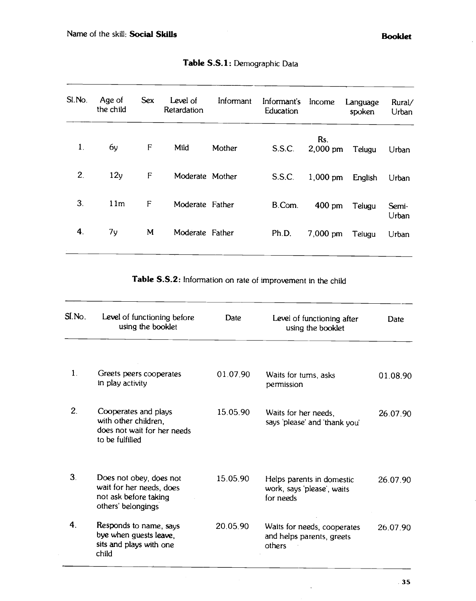| SI.No.         | Age of<br>the child | <b>Sex</b> | Level of<br>Retardation | Informant | Informant's<br>Education | Income            | Language<br>spoken | Rural/<br>Urban |
|----------------|---------------------|------------|-------------------------|-----------|--------------------------|-------------------|--------------------|-----------------|
| $\mathbf{1}$ . | 6y                  | F          | Mild                    | Mother    | S.S.C.                   | Rs.<br>$2,000$ pm | Telugu             | Urban           |
| 2.             | 12y                 | F          | Moderate Mother         |           | S.S.C.                   | $1,000$ pm        | English            | Urban           |
| 3.             | 11m                 | F          | Moderate Father         |           | B.Com.                   | 400 pm            | Telugu             | Semi-<br>Urban  |
| 4.             | 7y                  | M          | Moderate Father         |           | Ph.D.                    | $7,000$ pm        | Telugu             | Urban           |

Table S.S.1: Demographic Data

Table S.S.2: Information on rate of improvement in the child

| SI.No.         | Level of functioning before<br>using the booklet                                                   | Date     | Level of functioning after<br>using the booklet                      | <b>Date</b> |
|----------------|----------------------------------------------------------------------------------------------------|----------|----------------------------------------------------------------------|-------------|
| $\mathbf{1}$ . | Greets peers cooperates<br>in play activity                                                        | 01.07.90 | Waits for turns, asks<br>permission                                  | 01.08.90    |
| 2.             | Cooperates and plays<br>with other children,<br>does not wait for her needs<br>to be fulfilled     | 15.05.90 | Waits for her needs,<br>says 'please' and 'thank you'                | 26.07.90    |
| 3.             | Does not obey, does not<br>wait for her needs, does<br>not ask before taking<br>others' belongings | 15.05.90 | Helps parents in domestic<br>work, says 'please', waits<br>for needs | 26.07.90    |
| 4.             | Responds to name, says<br>bye when guests leave,<br>sits and plays with one<br>child               | 20 05 90 | Waits for needs, cooperates<br>and helps parents, greets<br>others   | 26.07.90    |

 $\tilde{\phantom{a}}$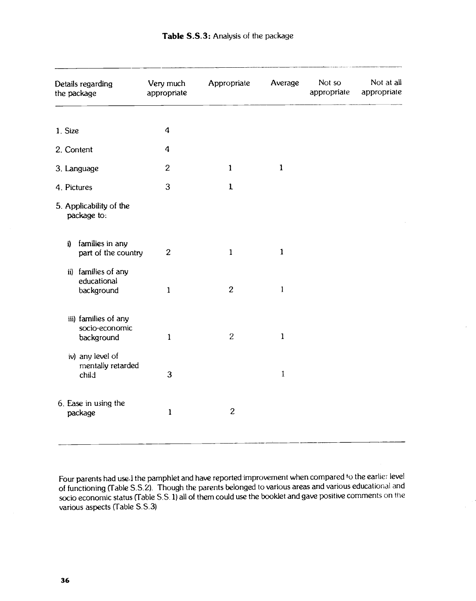| Details regarding<br>the package                     | Very much<br>appropriate | Appropriate    | Average      | Not so<br>appropriate | Not at all<br>appropriate |
|------------------------------------------------------|--------------------------|----------------|--------------|-----------------------|---------------------------|
| 1. Size                                              | $\boldsymbol{4}$         |                |              |                       |                           |
| 2. Content                                           | $\boldsymbol{4}$         |                |              |                       |                           |
| 3. Language                                          | $\overline{c}$           | $\mathbf{1}$   | $\mathbf{1}$ |                       |                           |
| 4. Pictures                                          | 3                        | $\mathbf{1}$   |              |                       |                           |
| 5. Applicability of the<br>package to:               |                          |                |              |                       |                           |
| families in any<br>i)<br>part of the country         | $\overline{c}$           | $\mathbf{1}$   | $\mathbf{1}$ |                       |                           |
| ii) families of any<br>educational<br>background     | $\mathbf{1}$             | $\overline{c}$ | $\mathbf{l}$ |                       |                           |
| iii) families of any<br>socio-economic<br>background | $\mathbf{1}$             | $\overline{2}$ | $\mathbf{1}$ |                       |                           |
| iv) any level of<br>mentally retarded<br>child       | 3                        |                | $\mathbf{1}$ |                       |                           |
| 6. Ease in using the<br>package                      | $\mathbf{1}$             | $\overline{c}$ |              |                       |                           |

Four parents had use.1 the pamphlet and have reported improvement when compared to the earlier level of functioning (Table S.S.2). Though the parents belonged to various areas arid various educational and socio economic status (Table S.S. 1) all of them could use the booklet and gave positive comments on the various aspects (fable S.S.3)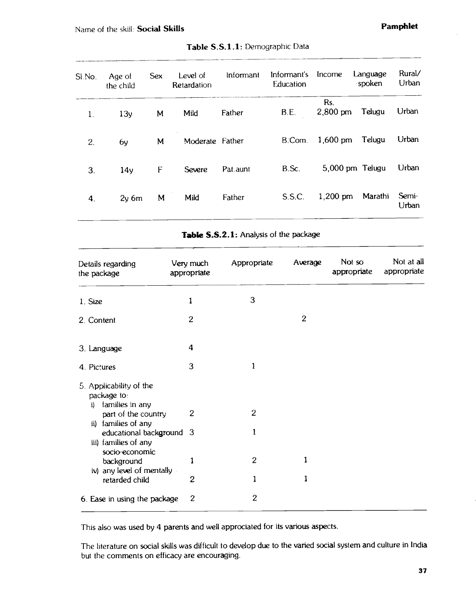| Age of<br>the child | <b>Sex</b> | Level of<br>Retardation | Informant | Informant's<br>Education | Income            |         | Rural/<br>Urban                       |
|---------------------|------------|-------------------------|-----------|--------------------------|-------------------|---------|---------------------------------------|
| 13 <sub>y</sub>     | M          | Mild                    | Father    | B.E.                     | Rs.<br>$2,800$ pm | Telugu  | Urban                                 |
| 6y                  | M          |                         |           | B.Com.                   | $1,600$ pm        | Telugu  | Urban                                 |
| 14 <sub>y</sub>     | F          | Severe                  | Pat.aunt  | B.Sc.                    |                   |         | Urban                                 |
| $2y$ 6m             | M          | Mild                    | Father    | S.S.C.                   | $1,200$ pm        | Marathi | Semi-<br>Urban                        |
|                     |            |                         |           | Moderate Father          |                   |         | Language<br>spoken<br>5,000 pm Telugu |

|  | Table S.S.1.1: Demographic Data |  |
|--|---------------------------------|--|
|--|---------------------------------|--|

Table S.S.2.1: Analysis of the package

| Details regarding<br>the package                                   | Very much<br>appropriate | Appropriate      | Average        | Not so<br>appropriate | Not at all<br>appropriate |
|--------------------------------------------------------------------|--------------------------|------------------|----------------|-----------------------|---------------------------|
| 1. Size                                                            | 1                        | 3                |                |                       |                           |
| 2. Content                                                         | $\overline{2}$           |                  | $\overline{c}$ |                       |                           |
| 3. Language                                                        | 4                        |                  |                |                       |                           |
| 4. Pictures                                                        | 3                        | 1                |                |                       |                           |
| 5. Applicability of the<br>package to:<br>families in any<br>i)    |                          |                  |                |                       |                           |
| part of the country<br>families of any<br>ii)                      | $\boldsymbol{2}$         | $\boldsymbol{2}$ |                |                       |                           |
| educational background 3<br>iii) families of any<br>socio-economic |                          | 1                |                |                       |                           |
| background<br>iv) any level of mentally                            |                          | $\mathbf{2}$     |                |                       |                           |
| retarded child                                                     | 2                        |                  |                |                       |                           |
| 6. Ease in using the package                                       | $\overline{2}$           | $\mathbf{2}$     |                |                       |                           |

This also was used by 4 parents and well approciated for its various aspects.

The hterature on social skills was difficult to develop due to the varied social system and culture in India but the comments on efficacy are encouraging.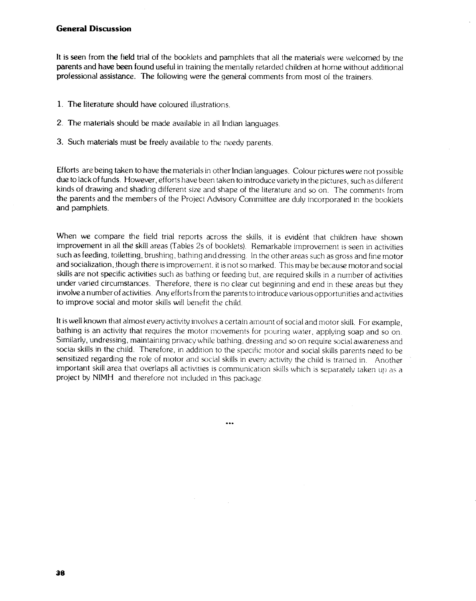#### General Discussion

It is seen from the field trial of the booklets and pamphlets that all the materials were welcomed by the parents and have been found useful in training the mentally retarded children at home without additional professional assistance. The following were the general comments from most of the trainers.

- 1. The literature should have coloured illustrations.
- 2. The materials should be made available in all Indian languages.
- 3. Such materials must be freely available to the needy parents.

Efforts are being taken to have the materials in other Indian languages. Colour pictures were not possible due to lack of funds. However, efforts have been taken to introduce variety in the pictures, such as different kinds of drawing and shading different size and shape of the literature and so on. The comments from the parents and the members of the Project Advisory Committee are duly incorporated in the booklets and pamphlets.

When we compare the field trial reports across the skills, it is evident that children have shown improvement in all the skill areas (Tables 2s of booklets). Remarkable improvement is seen in activities such as feeding, toiletting, brushing, bathing and dressing. In the other areas such as gross and fine motor and socialization, though there is improvement. it is not so marked. This may be because motor and social skills are not specific activities such as bathing or feeding but, are required skills in a number of activities under varied circumstances. Therefore, there is no clear cut beginning and end in these areas but they involve a number of activities. Any efforts from the parents to introduce various opportunities and activities to improve social and motor skills will benefit the child.

It is well known that almost every activity involves a certain amount of social and motor skill. For example, bathing is an activity that requires the motor movements for pouring water, applying soap and so on. Similarly, undressing, maintaining privacy while bathing. dressing and so on require socialawareness and sociai skills in the child. Therefore, in addition to the specific motor and social skills parents need to be sensitized regarding the role of motor and social skills in every activity the child is trained in. Another important skill area that overlaps all activities is communication skills which is separately taken up as a project by NIMH and therefore not included in this package.

 $...$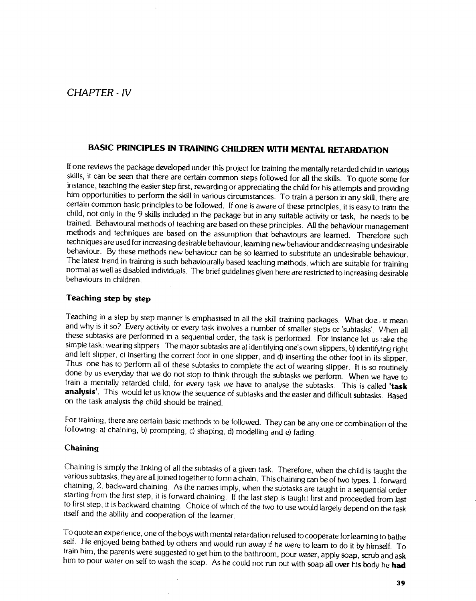## <span id="page-45-0"></span>CHAPTER -IV

### BASIC PRINCIPLES IN TRAINING CHILDREN WITH MENTAL RETARDATION

If one reviews the package developed under this project for training the mentally retarded child in various skills, it can be seen that there are certain common steps followed for all the skills. To quote some for instance, teaching the easier step first, rewarding or appreciating the child for his attempts and providing him opportunities to perform the skill in various circumstances. To train a person in any skill, there are certain common basic principles to be followed. If one is aware of these principles, it is easy to train the child, not only in the 9 skills included in the package but in any suitable activity or task, he needs to be trained. Behavioural methods of teaching are based on these principles. All the behaviour management methods and techniques are based on the assumption that behaviours are learned. Therefore such techniques are used for increasing desirable behaviour, learning new behaviour and decreasing undesirable behaviour. By these methods new behaviour can be so learned to substitute an undesirable behaviour. The latest trend in training is such behaviourally based teaching methods, which are suitable for training normal as well as disabled individuals. The brief guidelines given here are restricted to increasing desirable<br>behaviours in children.

#### Teaching step by step

Teaching in a step by step manner is emphasised in all the skill training packages. What doe it mean and why is it so? Every activity or every task involves a number of smaller steps or 'subtasks'. V /hen all these subtasks are performed in a sequential order, the task is performed. For instance let us take the simple task: wearing slippers. The major subtasks are a) identifying one's own slippers, b) identifying right and left slipper, c) inserting the correct foot in one slipper, and d) inserting the other foot in its slipper.<br>Thus one has to perform all of these subtasks to complete the act of wearing slipper. It is so routinely done by us everyday that we do not stop to think through the subtasks we perform. When we have to train a mentally retarded child, for every task we have to analyse the subtasks. This is called 'task analysis'. This would let us know the sequence of subtasks and the easier and difficult subtasks. Based on the task analysis the child should be trained.

For training, there are certain basic methods to be followed. Theycan be any one or combination of the following: a) chaining, b) prompting, c) shaping, d) modelling and e) fading.

#### **Chaining**

Chaining is simply the linking of all the subtasks of a given task. Therefore, when the child is taught the various subtasks, they are all joined together to form a chain. This chaining can be of two types. 1. forward chai starting from the first step, it is forward chaining. If the last step is taught first and proceeded from last to first step, it is backward chaining. Choice of which of the two touse would largely depend on the task itself and the ability and cooperation of the learner.

To quote an experience, one of the boys with mental retardation refused tocooperate for learning to bathe self. He enjoyed being bathed by others and would run away if he were to learn to do it by himself. To train him, the parents were suggested to get him to the bathroom, pour water, apply soap, scrub and ask him to pour water on self to wash the soap. As he could not run out with soap all over his body he had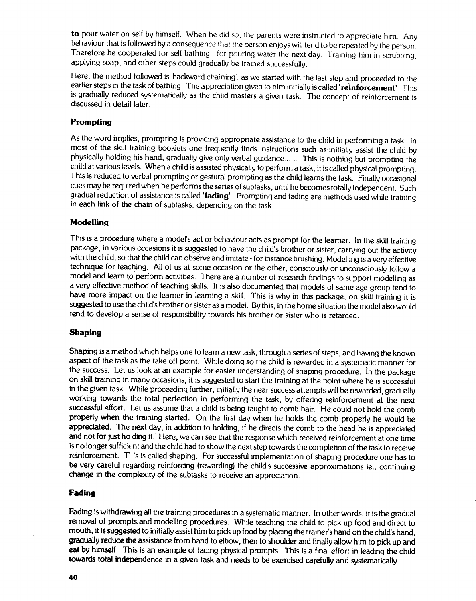to pour water on self by himself. When he did so, the parents were instructed to appreciate him. Any behaviour that is followed by a consequence that the person enjoys will tend to be repeated by the person. Therefore he cooperated for self bathing - for pouring water the next day. Training him in scrubbing, applying soap, and other steps could gradually be trained successfully.

Here, the method followed is 'backward chaining', as we started with the last step and proceeded to the earlier steps in the task of bathing. The appreciation given to him initially is called 'reinforcement' This is gradually reduced systematically as the child masters a given task. The concept of reinforcement is discussed in detail later.

#### Prompting

As the word implies, prompting is providing appropriate assistance to the child in performing a task. In most of the skill training booklets one frequently finds instructions such as:initially assist the child by physically holding his hand, gradually give only verbal guidance...... This is nothing but prompting the child at various levels. When a child is assisted physically to perform a task, it is called physical prompting. This is reduced to verbal prompting or gestural prompting as the child learns the task. Finally occasional cues may be required when he performs the series of subtasks, until he becomes totally independent. Such gradual reduction of assistance is called 'fading' Prompting and fading are methods used while training in each link of the chain of subtasks, depending on the task.

#### **Modelling**

This is a procedure where a model's act or behaviour acts as prompt for the learner. In the skill training package, in various occasions it is suggested to have the child's brother or sister, carrying out the activity with the child, so that the child can observe and imitate - for instance brushing. Modelling is a very effective technique for teaching. All of us at some occasion or the other, consciously or unconsciously follow a model and learn to perform activities. There are a number of research findings to support modelling as a very effective method of teaching skills. It is also documented that models of same age group tend to have more impact on the learner in learning a skill. This is why in this package, on skill training it is suggested to use the child's brother or sister as a model. By this, in the home situation the model also would tend to develop a sense of responsibility towards his brother or sister who is retarded.

#### Shaping

Shaping is a method which helps one to learn a new task, through a series of steps, and having the known aspect of the task as the take off point. While doing so the child is rewarded in a systematic manner for the success. Let us look at an example for easier understanding of shaping procedure. In the package on skill training in many occasions, it is suggested to start the training at the point where he is successful in the given task. While proceeding further, initially the near success attempts will be rewarded, gradually working towards the total perfection in performing the task, by offering reinforcement at the next successful effort. Let us assume that a child is being taught to comb hair. He could not hold the comb properly when the training started. On the first day when he holds the comb properly he would be appreciated. The next day, in addition to holding, if he directs the comb to the head he is appreciated and not for just ho ding it. Here, we can see that the response which received reinforcement at one time is no longer suffick nt and the child had to show the next step towards the completion of the task to receive reinforcement. T 's is called shaping. For successful implementation of shaping procedure one has to be very careful regarding reinforcing (rewarding) the child's successive approximations ie., continuing change in the complexity of the subtasks to receive an appreciation.

#### Fading

Fading is withdrawing all the training procedures in a systematic manner. In other words, it isthe gradual removal of prompts.and modelling procedures. While teaching the child to pick up food and direct to mouth, it is suggested to initially assist him to pick up food by placing the trainer's hand on the child's hand, gradually reduce the assistance from hand to elbow, then to shoulder and finally allow him to pick up and eat by himself. This is an example of fading physical prompts. This is a final effort in leading the child towards total independence in a given task and needs to be exercised carefully and systematically.